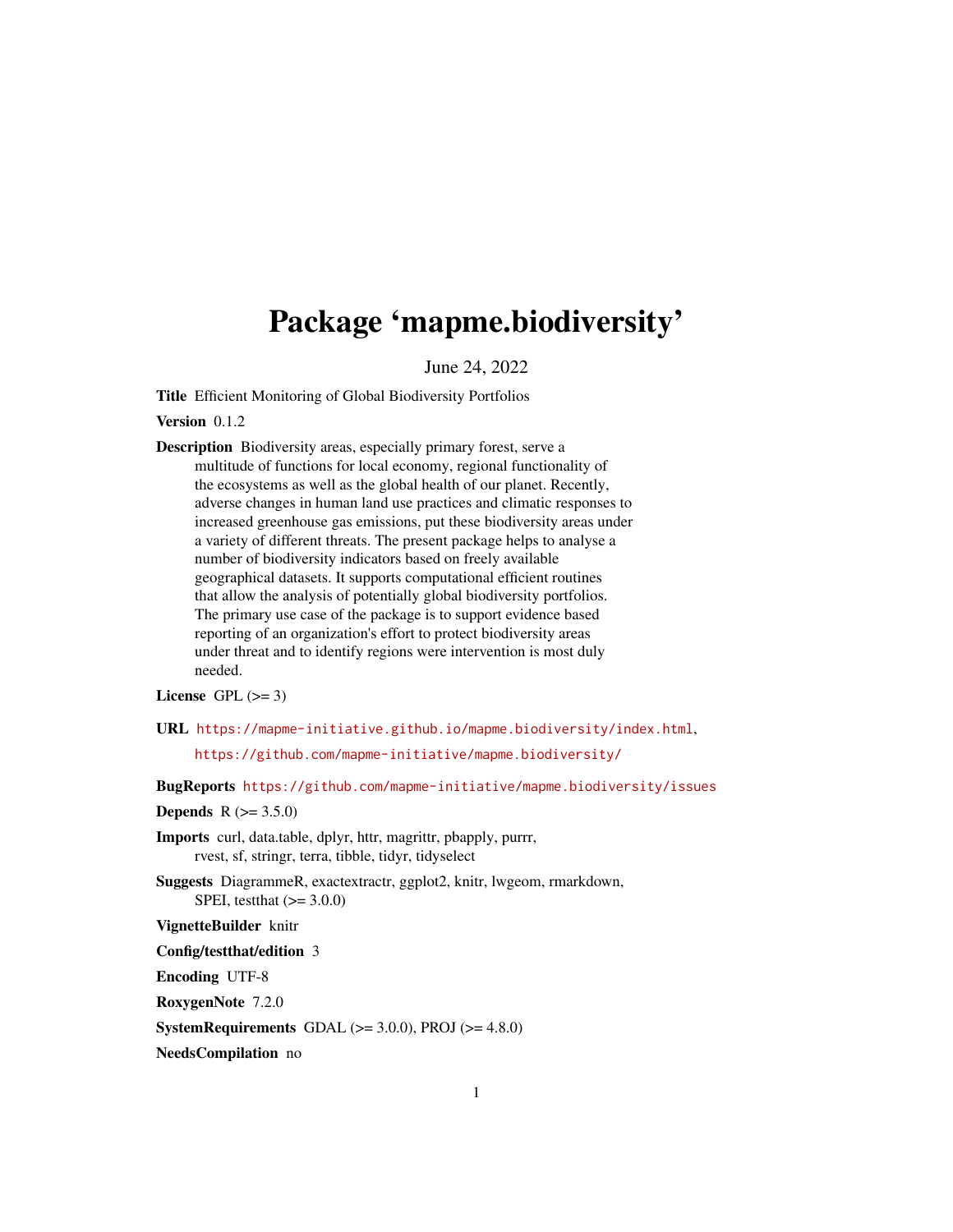# Package 'mapme.biodiversity'

June 24, 2022

Title Efficient Monitoring of Global Biodiversity Portfolios

Version 0.1.2

Description Biodiversity areas, especially primary forest, serve a multitude of functions for local economy, regional functionality of the ecosystems as well as the global health of our planet. Recently, adverse changes in human land use practices and climatic responses to increased greenhouse gas emissions, put these biodiversity areas under a variety of different threats. The present package helps to analyse a number of biodiversity indicators based on freely available geographical datasets. It supports computational efficient routines that allow the analysis of potentially global biodiversity portfolios. The primary use case of the package is to support evidence based reporting of an organization's effort to protect biodiversity areas under threat and to identify regions were intervention is most duly needed.

License GPL  $(>= 3)$ 

URL <https://mapme-initiative.github.io/mapme.biodiversity/index.html>,

<https://github.com/mapme-initiative/mapme.biodiversity/>

BugReports <https://github.com/mapme-initiative/mapme.biodiversity/issues>

#### **Depends** R  $(>= 3.5.0)$

Imports curl, data.table, dplyr, httr, magrittr, pbapply, purrr, rvest, sf, stringr, terra, tibble, tidyr, tidyselect

Suggests DiagrammeR, exactextractr, ggplot2, knitr, lwgeom, rmarkdown, SPEI, testthat  $(>= 3.0.0)$ 

VignetteBuilder knitr

Config/testthat/edition 3

Encoding UTF-8

RoxygenNote 7.2.0

**SystemRequirements** GDAL  $(>= 3.0.0)$ , PROJ  $(>= 4.8.0)$ 

NeedsCompilation no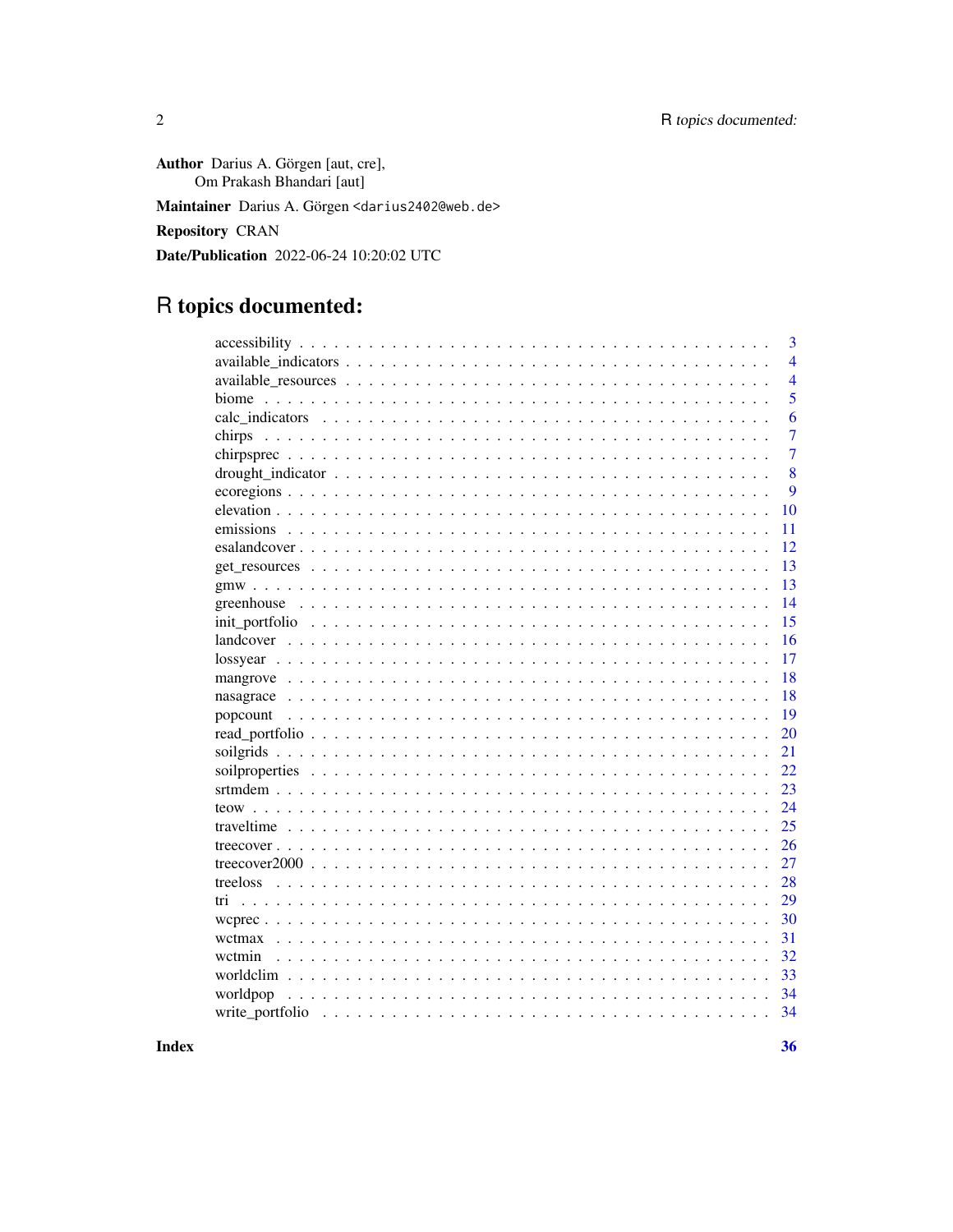Author Darius A. Görgen [aut, cre], Om Prakash Bhandari [aut] Maintainer Darius A. Görgen <darius2402@web.de> Repository CRAN Date/Publication 2022-06-24 10:20:02 UTC

## R topics documented:

|          | 3              |
|----------|----------------|
|          | $\overline{4}$ |
|          | $\overline{4}$ |
| biome    | 5              |
|          | 6              |
| chirps   | 7              |
|          | $\overline{7}$ |
|          | 8              |
|          | 9              |
|          | 10             |
|          | 11             |
|          | 12             |
|          | 13             |
|          | 13             |
|          | 14             |
|          | 15             |
|          | 16             |
|          | 17             |
|          | 18             |
|          | 18             |
|          | 19             |
|          | 20             |
|          | 21             |
|          | 22             |
|          | 23             |
|          | 24             |
|          | 25             |
|          | 26             |
|          | 27             |
| treeloss | 28             |
| tri      | 29             |
|          | 30             |
|          | 31             |
| wctmin   | 32             |
|          | 33             |
| worldpop | 34             |
|          | 34             |
|          |                |

**Index**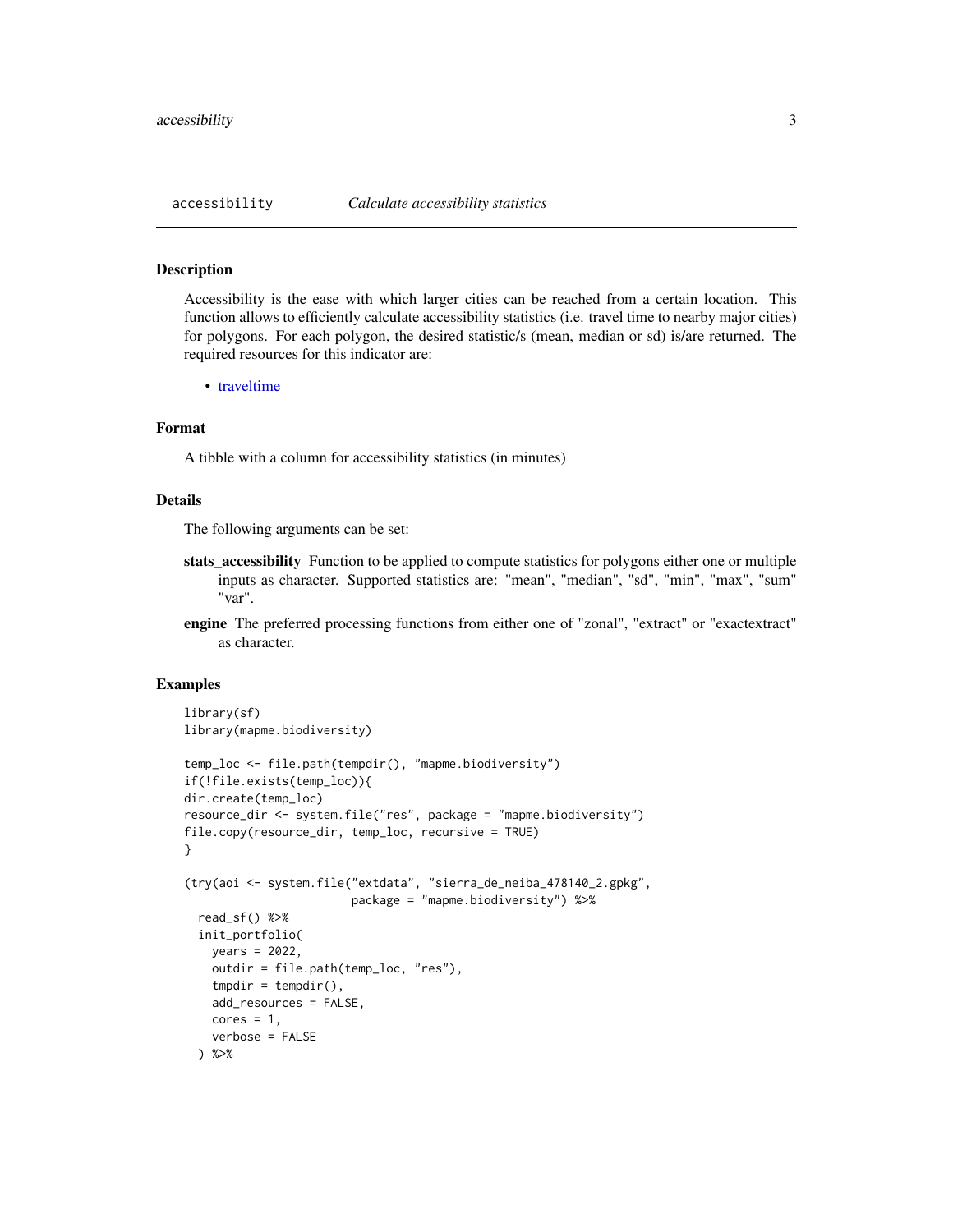<span id="page-2-0"></span>

#### Description

Accessibility is the ease with which larger cities can be reached from a certain location. This function allows to efficiently calculate accessibility statistics (i.e. travel time to nearby major cities) for polygons. For each polygon, the desired statistic/s (mean, median or sd) is/are returned. The required resources for this indicator are:

• [traveltime](#page-24-1)

#### Format

A tibble with a column for accessibility statistics (in minutes)

#### Details

The following arguments can be set:

- stats\_accessibility Function to be applied to compute statistics for polygons either one or multiple inputs as character. Supported statistics are: "mean", "median", "sd", "min", "max", "sum" "var".
- engine The preferred processing functions from either one of "zonal", "extract" or "exactextract" as character.

```
library(sf)
library(mapme.biodiversity)
temp_loc <- file.path(tempdir(), "mapme.biodiversity")
if(!file.exists(temp_loc)){
dir.create(temp_loc)
resource_dir <- system.file("res", package = "mapme.biodiversity")
file.copy(resource_dir, temp_loc, recursive = TRUE)
}
(try(aoi <- system.file("extdata", "sierra_de_neiba_478140_2.gpkg",
                       package = "mapme.biodiversity") %>%
 read_sf() %>%
 init_portfolio(
   years = 2022,
   outdir = file.path(temp_loc, "res"),
    tmpdir = tempdir(),add_resources = FALSE,
   cores = 1,verbose = FALSE
 ) %>%
```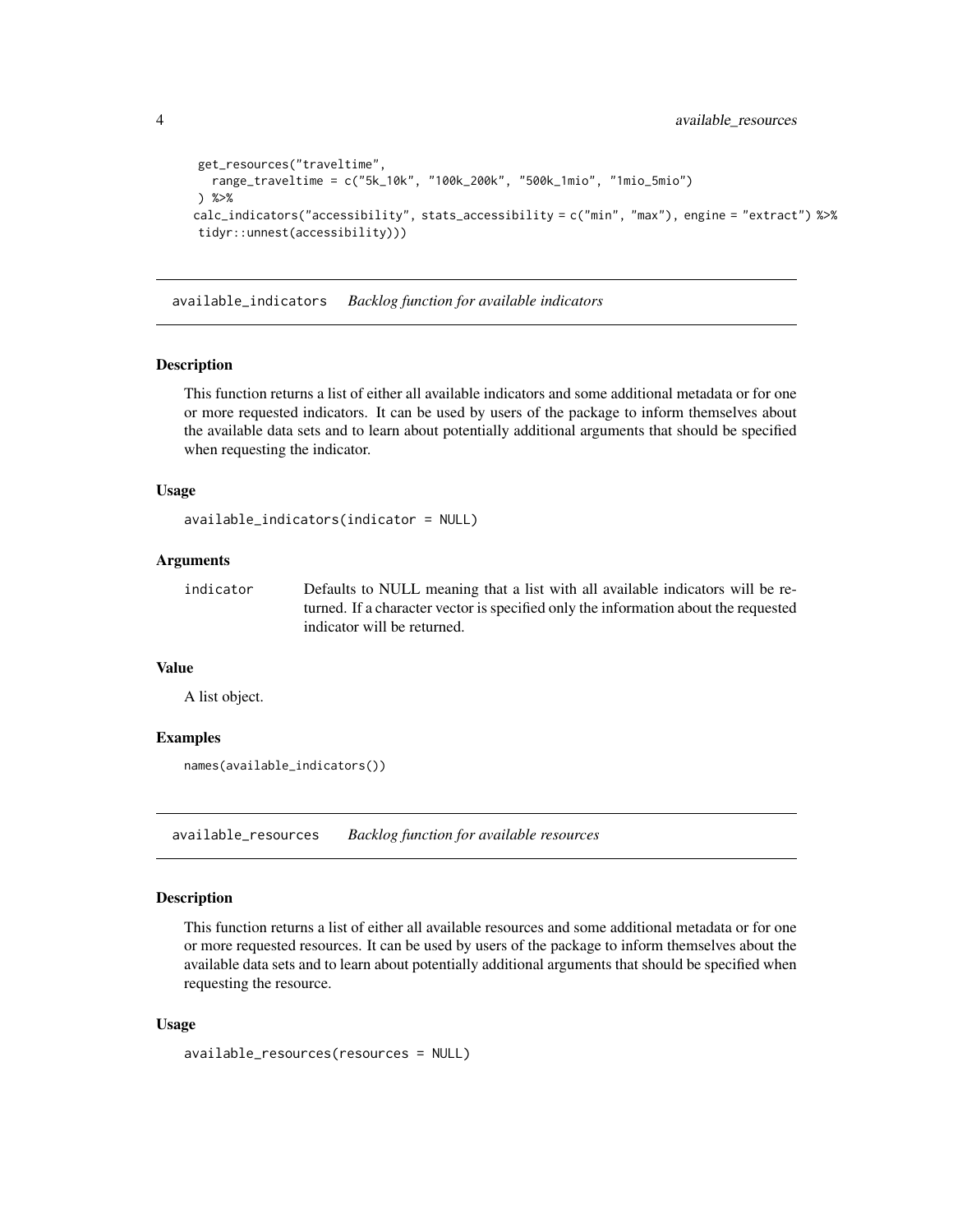```
get_resources("traveltime",
  range_traveltime = c("5k_10k", "100k_200k", "500k_1mio", "1mio_5mio")
) %>%
calc_indicators("accessibility", stats_accessibility = c("min", "max"), engine = "extract") %>%
tidyr::unnest(accessibility)))
```
available\_indicators *Backlog function for available indicators*

#### Description

This function returns a list of either all available indicators and some additional metadata or for one or more requested indicators. It can be used by users of the package to inform themselves about the available data sets and to learn about potentially additional arguments that should be specified when requesting the indicator.

#### Usage

```
available_indicators(indicator = NULL)
```
#### Arguments

indicator Defaults to NULL meaning that a list with all available indicators will be returned. If a character vector is specified only the information about the requested indicator will be returned.

#### Value

A list object.

#### Examples

```
names(available_indicators())
```
available\_resources *Backlog function for available resources*

#### Description

This function returns a list of either all available resources and some additional metadata or for one or more requested resources. It can be used by users of the package to inform themselves about the available data sets and to learn about potentially additional arguments that should be specified when requesting the resource.

#### Usage

```
available_resources(resources = NULL)
```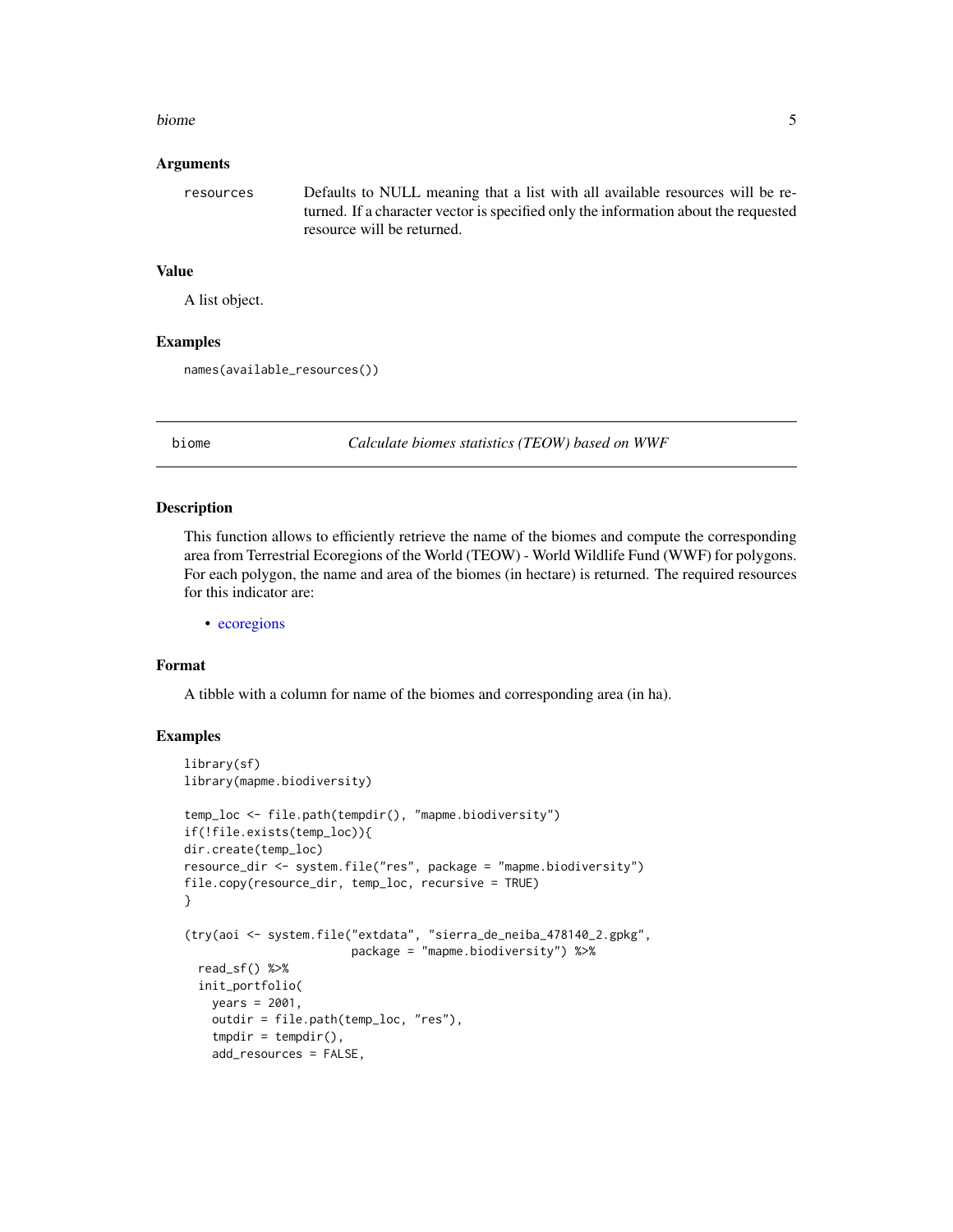#### <span id="page-4-0"></span>biome 5

#### Arguments

resources Defaults to NULL meaning that a list with all available resources will be returned. If a character vector is specified only the information about the requested resource will be returned.

#### Value

A list object.

#### Examples

names(available\_resources())

biome *Calculate biomes statistics (TEOW) based on WWF*

#### Description

This function allows to efficiently retrieve the name of the biomes and compute the corresponding area from Terrestrial Ecoregions of the World (TEOW) - World Wildlife Fund (WWF) for polygons. For each polygon, the name and area of the biomes (in hectare) is returned. The required resources for this indicator are:

• [ecoregions](#page-8-1)

#### Format

A tibble with a column for name of the biomes and corresponding area (in ha).

```
library(sf)
library(mapme.biodiversity)
temp_loc <- file.path(tempdir(), "mapme.biodiversity")
if(!file.exists(temp_loc)){
dir.create(temp_loc)
resource_dir <- system.file("res", package = "mapme.biodiversity")
file.copy(resource_dir, temp_loc, recursive = TRUE)
}
(try(aoi <- system.file("extdata", "sierra_de_neiba_478140_2.gpkg",
                        package = "mapme.biodiversity") %>%
 read_sf() %>%
 init_portfolio(
   years = 2001,
   outdir = file.path(temp_loc, "res"),
    tmpdir = tempdir(),
   add_resources = FALSE,
```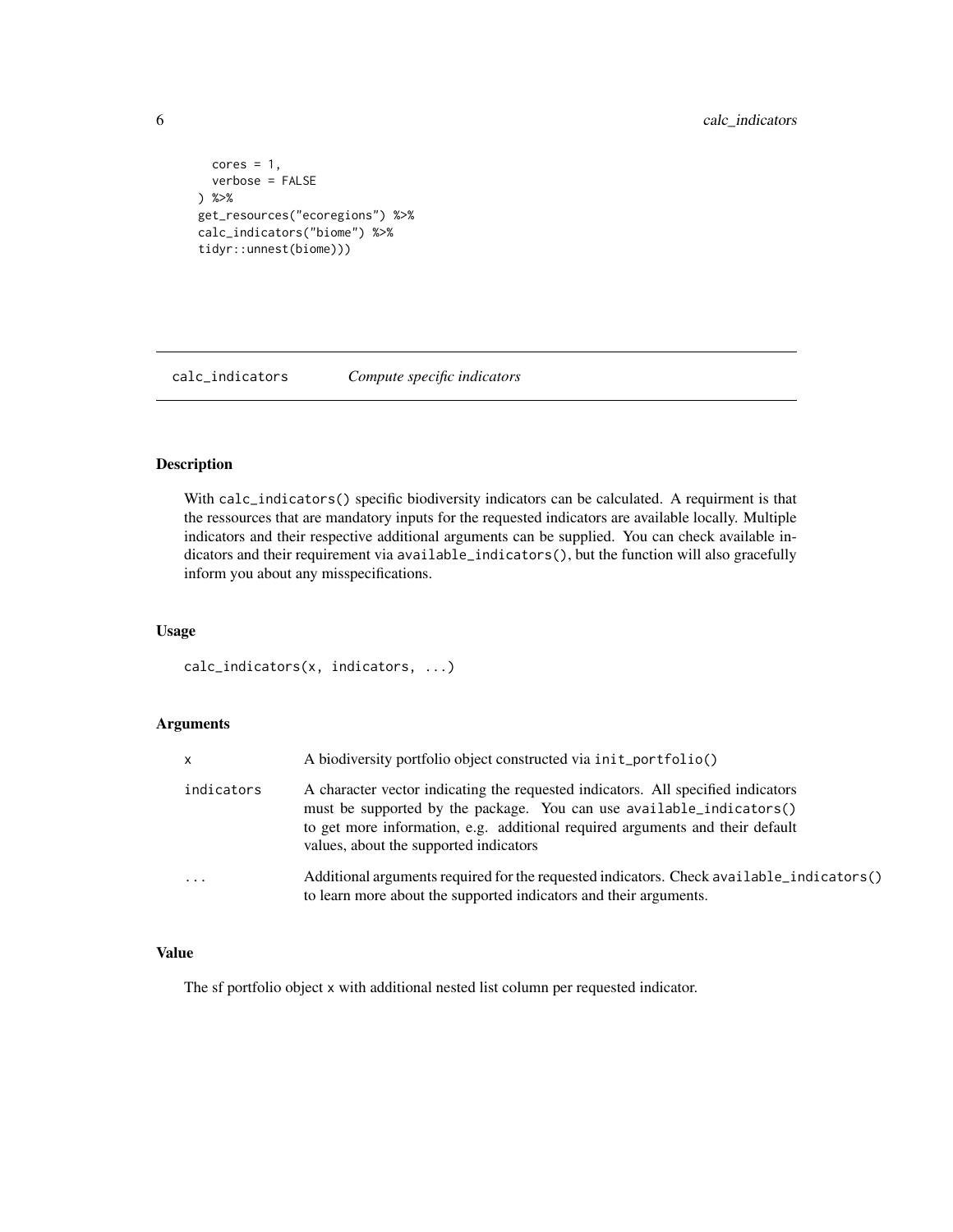<span id="page-5-0"></span>6 calc\_indicators

```
cores = 1,verbose = FALSE
) %>%
get_resources("ecoregions") %>%
calc_indicators("biome") %>%
tidyr::unnest(biome)))
```
calc\_indicators *Compute specific indicators*

#### Description

With calc\_indicators() specific biodiversity indicators can be calculated. A requirment is that the ressources that are mandatory inputs for the requested indicators are available locally. Multiple indicators and their respective additional arguments can be supplied. You can check available indicators and their requirement via available\_indicators(), but the function will also gracefully inform you about any misspecifications.

#### Usage

```
calc_indicators(x, indicators, ...)
```
#### Arguments

| X          | A biodiversity portfolio object constructed via init_portfolio()                                                                                                                                                                                                                    |
|------------|-------------------------------------------------------------------------------------------------------------------------------------------------------------------------------------------------------------------------------------------------------------------------------------|
| indicators | A character vector indicating the requested indicators. All specified indicators<br>must be supported by the package. You can use available_indicators()<br>to get more information, e.g. additional required arguments and their default<br>values, about the supported indicators |
| $\ddotsc$  | (Additional arguments required for the requested indicators. Check available_indicators<br>to learn more about the supported indicators and their arguments.                                                                                                                        |

#### Value

The sf portfolio object x with additional nested list column per requested indicator.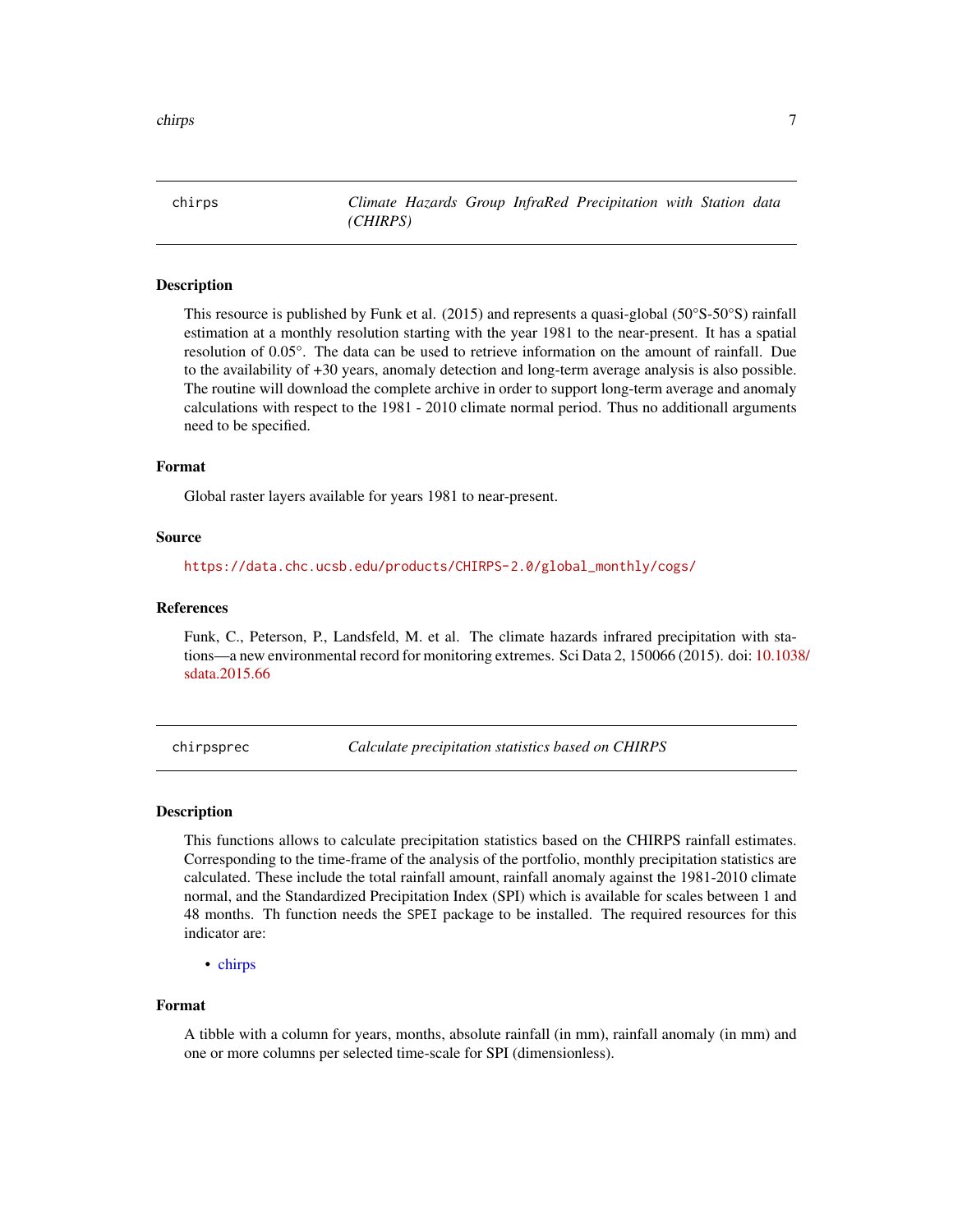<span id="page-6-1"></span><span id="page-6-0"></span>chirps *Climate Hazards Group InfraRed Precipitation with Station data (CHIRPS)*

#### Description

This resource is published by Funk et al. (2015) and represents a quasi-global (50°S-50°S) rainfall estimation at a monthly resolution starting with the year 1981 to the near-present. It has a spatial resolution of 0.05°. The data can be used to retrieve information on the amount of rainfall. Due to the availability of +30 years, anomaly detection and long-term average analysis is also possible. The routine will download the complete archive in order to support long-term average and anomaly calculations with respect to the 1981 - 2010 climate normal period. Thus no additionall arguments need to be specified.

#### Format

Global raster layers available for years 1981 to near-present.

#### Source

[https://data.chc.ucsb.edu/products/CHIRPS-2.0/global\\_monthly/cogs/](https://data.chc.ucsb.edu/products/CHIRPS-2.0/global_monthly/cogs/)

#### References

Funk, C., Peterson, P., Landsfeld, M. et al. The climate hazards infrared precipitation with stations—a new environmental record for monitoring extremes. Sci Data 2, 150066 (2015). doi: [10.1038](https://doi.org/10.1038/sdata.2015.66)/ [sdata.2015.66](https://doi.org/10.1038/sdata.2015.66)

chirpsprec *Calculate precipitation statistics based on CHIRPS*

#### **Description**

This functions allows to calculate precipitation statistics based on the CHIRPS rainfall estimates. Corresponding to the time-frame of the analysis of the portfolio, monthly precipitation statistics are calculated. These include the total rainfall amount, rainfall anomaly against the 1981-2010 climate normal, and the Standardized Precipitation Index (SPI) which is available for scales between 1 and 48 months. Th function needs the SPEI package to be installed. The required resources for this indicator are:

• [chirps](#page-6-1)

#### Format

A tibble with a column for years, months, absolute rainfall (in mm), rainfall anomaly (in mm) and one or more columns per selected time-scale for SPI (dimensionless).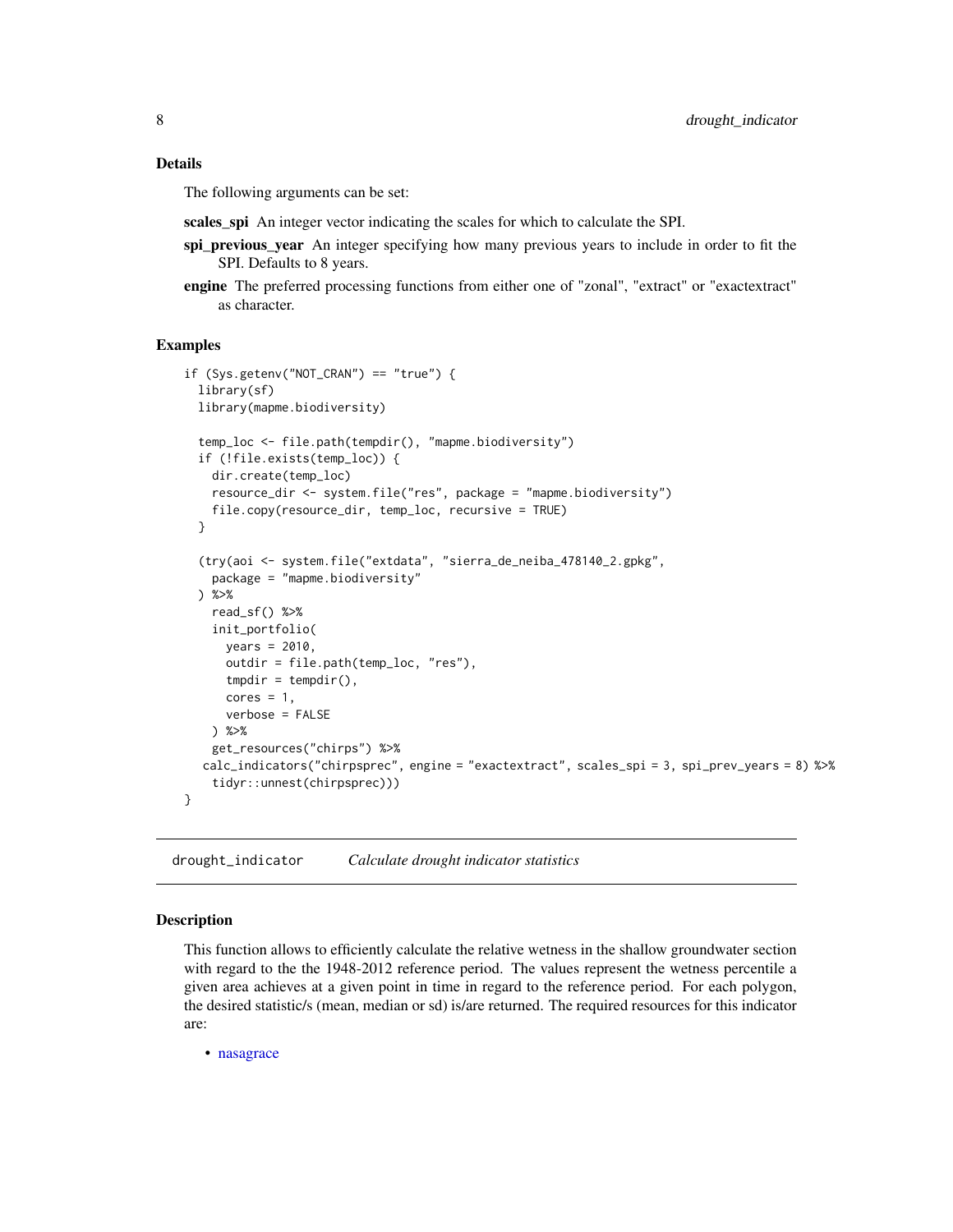#### <span id="page-7-0"></span>Details

The following arguments can be set:

scales\_spi An integer vector indicating the scales for which to calculate the SPI.

- spi\_previous\_year An integer specifying how many previous years to include in order to fit the SPI. Defaults to 8 years.
- engine The preferred processing functions from either one of "zonal", "extract" or "exactextract" as character.

#### Examples

```
if (Sys.getenv("NOT_CRAN") == "true") {
 library(sf)
 library(mapme.biodiversity)
 temp_loc <- file.path(tempdir(), "mapme.biodiversity")
 if (!file.exists(temp_loc)) {
   dir.create(temp_loc)
   resource_dir <- system.file("res", package = "mapme.biodiversity")
   file.copy(resource_dir, temp_loc, recursive = TRUE)
 }
  (try(aoi <- system.file("extdata", "sierra_de_neiba_478140_2.gpkg",
    package = "mapme.biodiversity"
 ) %>%
   read_sf() %>%
    init_portfolio(
     years = 2010,
     outdir = file.path(temp_loc, "res"),
     tmpdir = tempdir(),cores = 1,verbose = FALSE
   ) %>%
    get_resources("chirps") %>%
  calc_indicators("chirpsprec", engine = "exactextract", scales_spi = 3, spi_prev_years = 8) %>%
    tidyr::unnest(chirpsprec)))
}
```
drought\_indicator *Calculate drought indicator statistics*

#### Description

This function allows to efficiently calculate the relative wetness in the shallow groundwater section with regard to the the 1948-2012 reference period. The values represent the wetness percentile a given area achieves at a given point in time in regard to the reference period. For each polygon, the desired statistic/s (mean, median or sd) is/are returned. The required resources for this indicator are:

• [nasagrace](#page-17-1)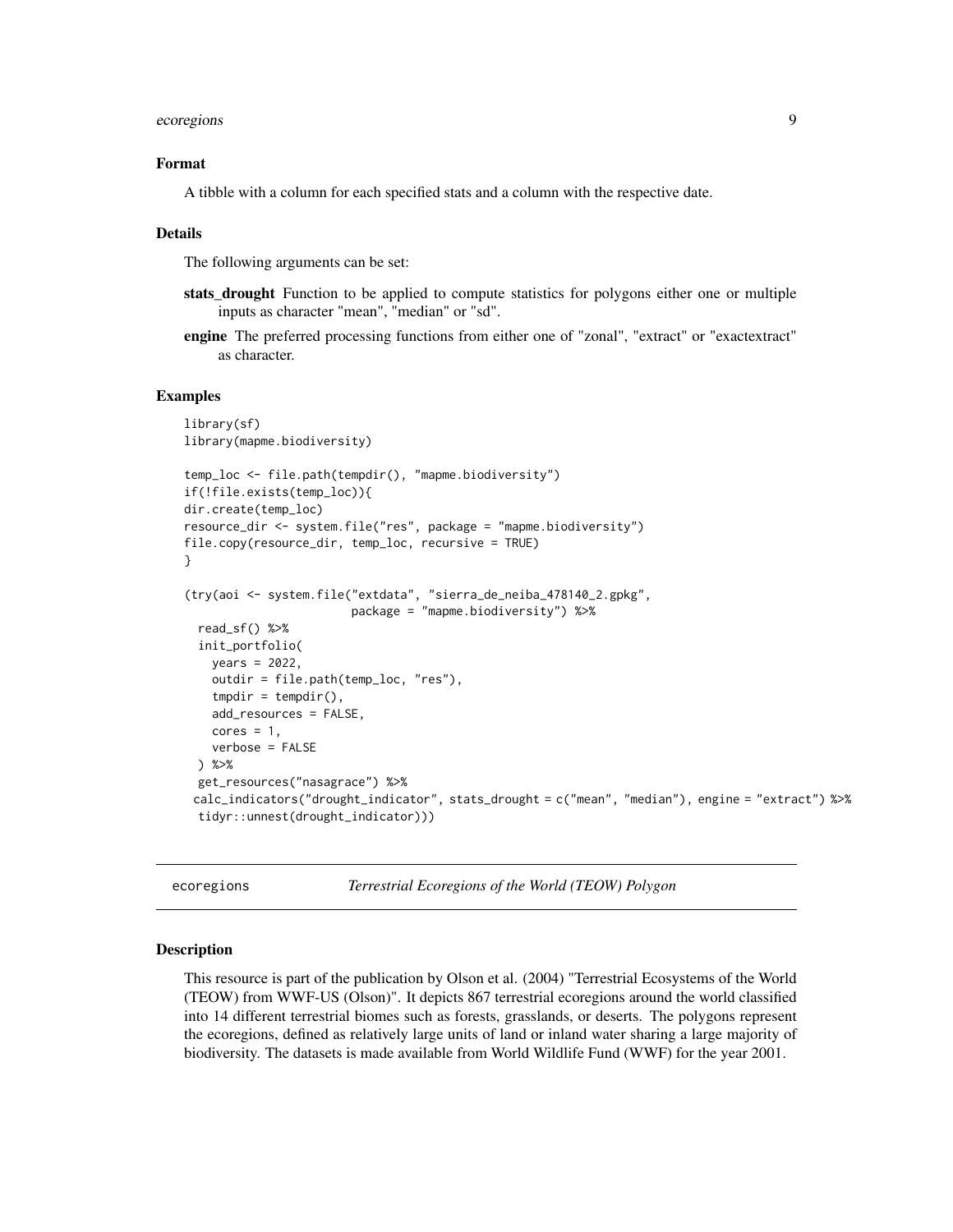#### <span id="page-8-0"></span>ecoregions and the contract of the contract of the contract of the contract of the contract of the contract of the contract of the contract of the contract of the contract of the contract of the contract of the contract of

#### Format

A tibble with a column for each specified stats and a column with the respective date.

#### Details

The following arguments can be set:

- stats\_drought Function to be applied to compute statistics for polygons either one or multiple inputs as character "mean", "median" or "sd".
- engine The preferred processing functions from either one of "zonal", "extract" or "exactextract" as character.

#### Examples

```
library(sf)
library(mapme.biodiversity)
temp_loc <- file.path(tempdir(), "mapme.biodiversity")
if(!file.exists(temp_loc)){
dir.create(temp_loc)
resource_dir <- system.file("res", package = "mapme.biodiversity")
file.copy(resource_dir, temp_loc, recursive = TRUE)
}
(try(aoi <- system.file("extdata", "sierra_de_neiba_478140_2.gpkg",
                        package = "mapme.biodiversity") %>%
 read_sf() %>%
 init_portfolio(
   years = 2022,
   outdir = file.path(temp_loc, "res"),
   tmpdir = tempdir(),add_resources = FALSE,
   cores = 1,verbose = FALSE
 ) %>%
 get_resources("nasagrace") %>%
 calc_indicators("drought_indicator", stats_drought = c("mean", "median"), engine = "extract") %>%
 tidyr::unnest(drought_indicator)))
```
<span id="page-8-1"></span>ecoregions *Terrestrial Ecoregions of the World (TEOW) Polygon*

#### Description

This resource is part of the publication by Olson et al. (2004) "Terrestrial Ecosystems of the World (TEOW) from WWF-US (Olson)". It depicts 867 terrestrial ecoregions around the world classified into 14 different terrestrial biomes such as forests, grasslands, or deserts. The polygons represent the ecoregions, defined as relatively large units of land or inland water sharing a large majority of biodiversity. The datasets is made available from World Wildlife Fund (WWF) for the year 2001.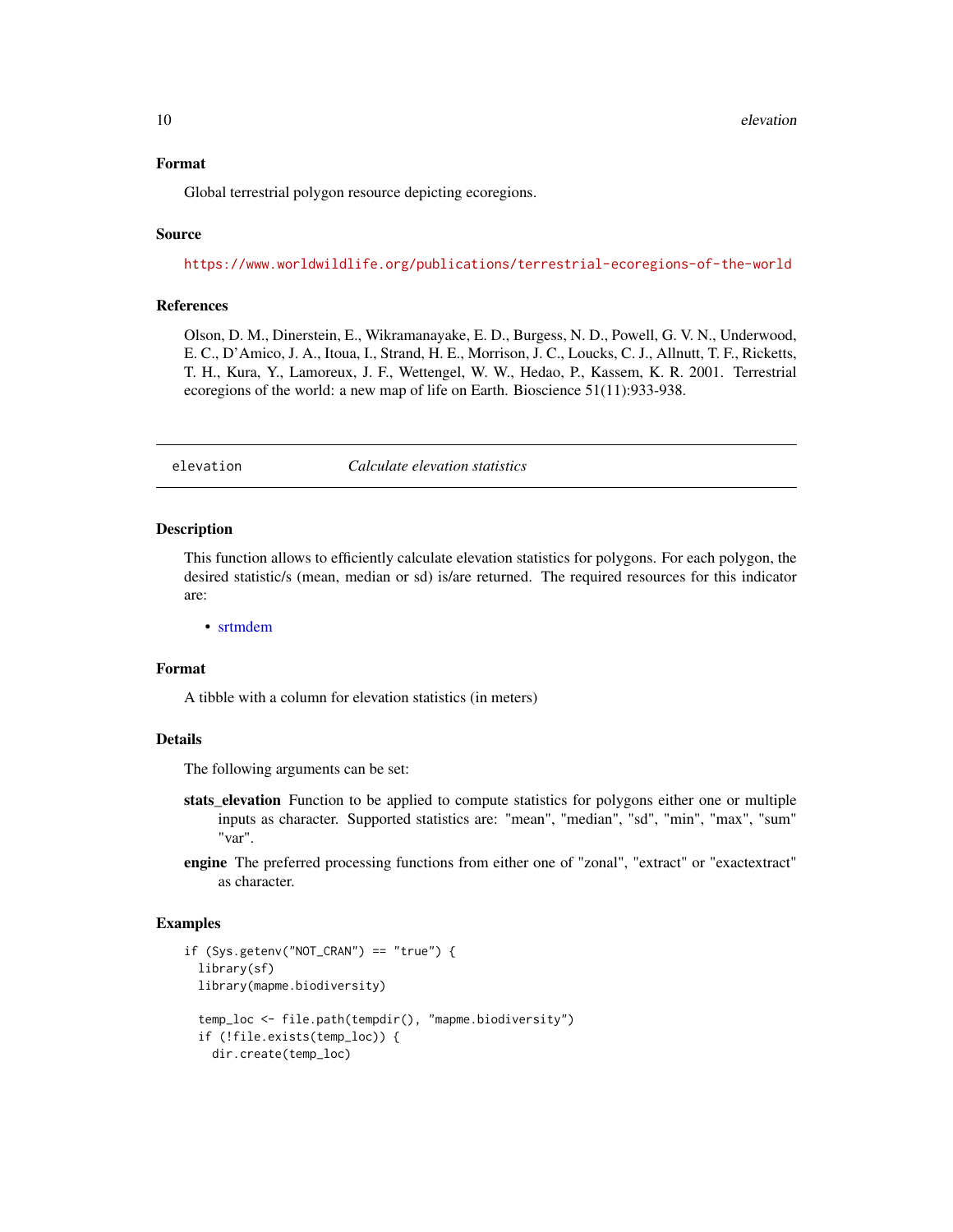#### <span id="page-9-0"></span>Format

Global terrestrial polygon resource depicting ecoregions.

#### Source

<https://www.worldwildlife.org/publications/terrestrial-ecoregions-of-the-world>

#### **References**

Olson, D. M., Dinerstein, E., Wikramanayake, E. D., Burgess, N. D., Powell, G. V. N., Underwood, E. C., D'Amico, J. A., Itoua, I., Strand, H. E., Morrison, J. C., Loucks, C. J., Allnutt, T. F., Ricketts, T. H., Kura, Y., Lamoreux, J. F., Wettengel, W. W., Hedao, P., Kassem, K. R. 2001. Terrestrial ecoregions of the world: a new map of life on Earth. Bioscience 51(11):933-938.

elevation *Calculate elevation statistics*

#### Description

This function allows to efficiently calculate elevation statistics for polygons. For each polygon, the desired statistic/s (mean, median or sd) is/are returned. The required resources for this indicator are:

• [srtmdem](#page-22-1)

#### Format

A tibble with a column for elevation statistics (in meters)

#### Details

The following arguments can be set:

- stats elevation Function to be applied to compute statistics for polygons either one or multiple inputs as character. Supported statistics are: "mean", "median", "sd", "min", "max", "sum" "var".
- engine The preferred processing functions from either one of "zonal", "extract" or "exactextract" as character.

```
if (Sys.getenv("NOT_CRAN") == "true") {
 library(sf)
 library(mapme.biodiversity)
 temp_loc <- file.path(tempdir(), "mapme.biodiversity")
 if (!file.exists(temp_loc)) {
   dir.create(temp_loc)
```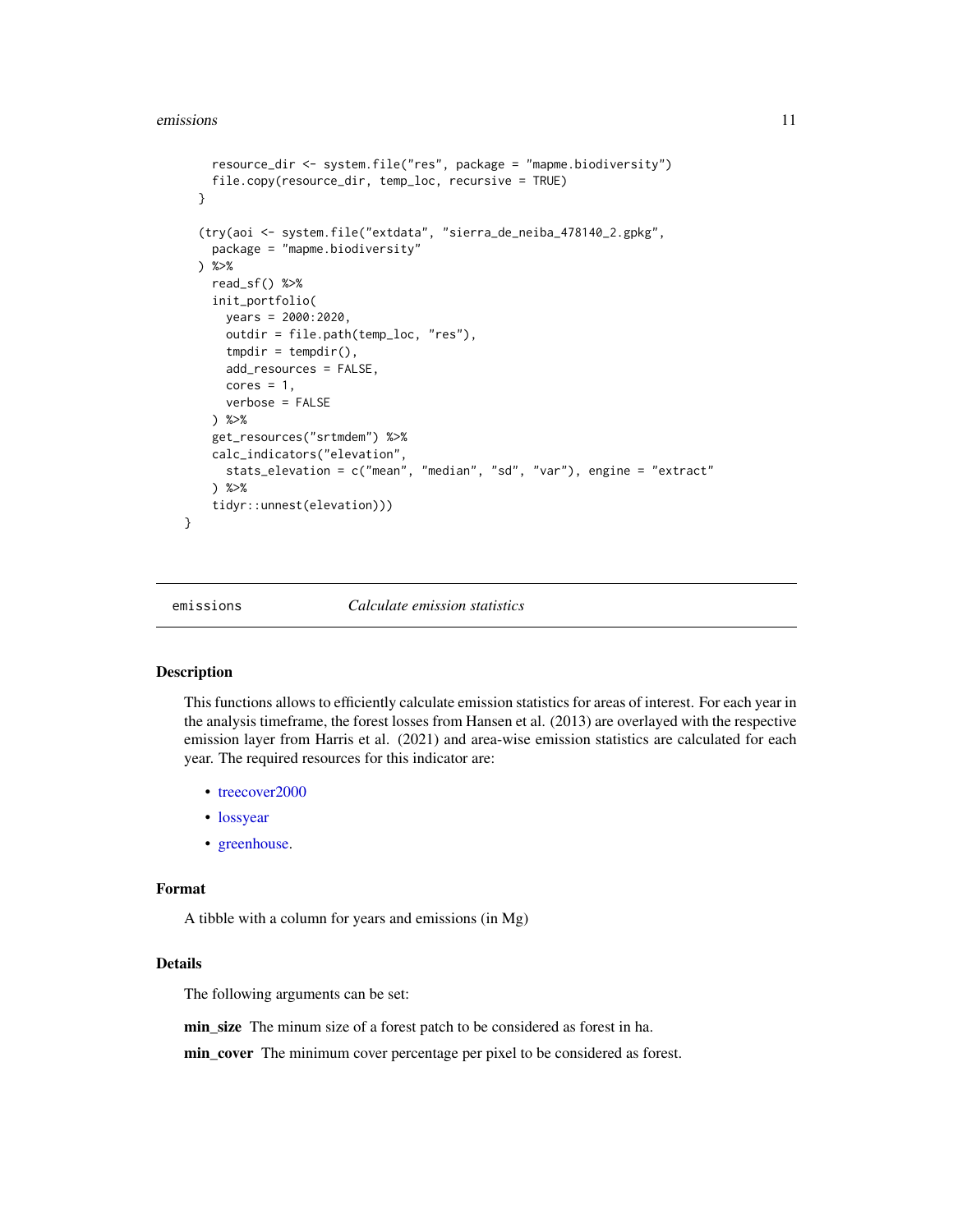```
resource_dir <- system.file("res", package = "mapme.biodiversity")
   file.copy(resource_dir, temp_loc, recursive = TRUE)
 }
  (try(aoi <- system.file("extdata", "sierra_de_neiba_478140_2.gpkg",
   package = "mapme.biodiversity"
 ) %>%
   read_sf() %>%
    init_portfolio(
     years = 2000:2020,
     outdir = file.path(temp_loc, "res"),
     tmpdir = tempdir(),
     add_resources = FALSE,
     cores = 1,verbose = FALSE
    ) %>%
    get_resources("srtmdem") %>%
    calc_indicators("elevation",
     stats_elevation = c("mean", "median", "sd", "var"), engine = "extract"
   ) %>%
    tidyr::unnest(elevation)))
}
```
emissions *Calculate emission statistics*

#### Description

This functions allows to efficiently calculate emission statistics for areas of interest. For each year in the analysis timeframe, the forest losses from Hansen et al. (2013) are overlayed with the respective emission layer from Harris et al. (2021) and area-wise emission statistics are calculated for each year. The required resources for this indicator are:

- [treecover2000](#page-26-1)
- [lossyear](#page-16-1)
- [greenhouse.](#page-13-1)

#### Format

A tibble with a column for years and emissions (in Mg)

#### Details

The following arguments can be set:

min\_size The minum size of a forest patch to be considered as forest in ha.

min\_cover The minimum cover percentage per pixel to be considered as forest.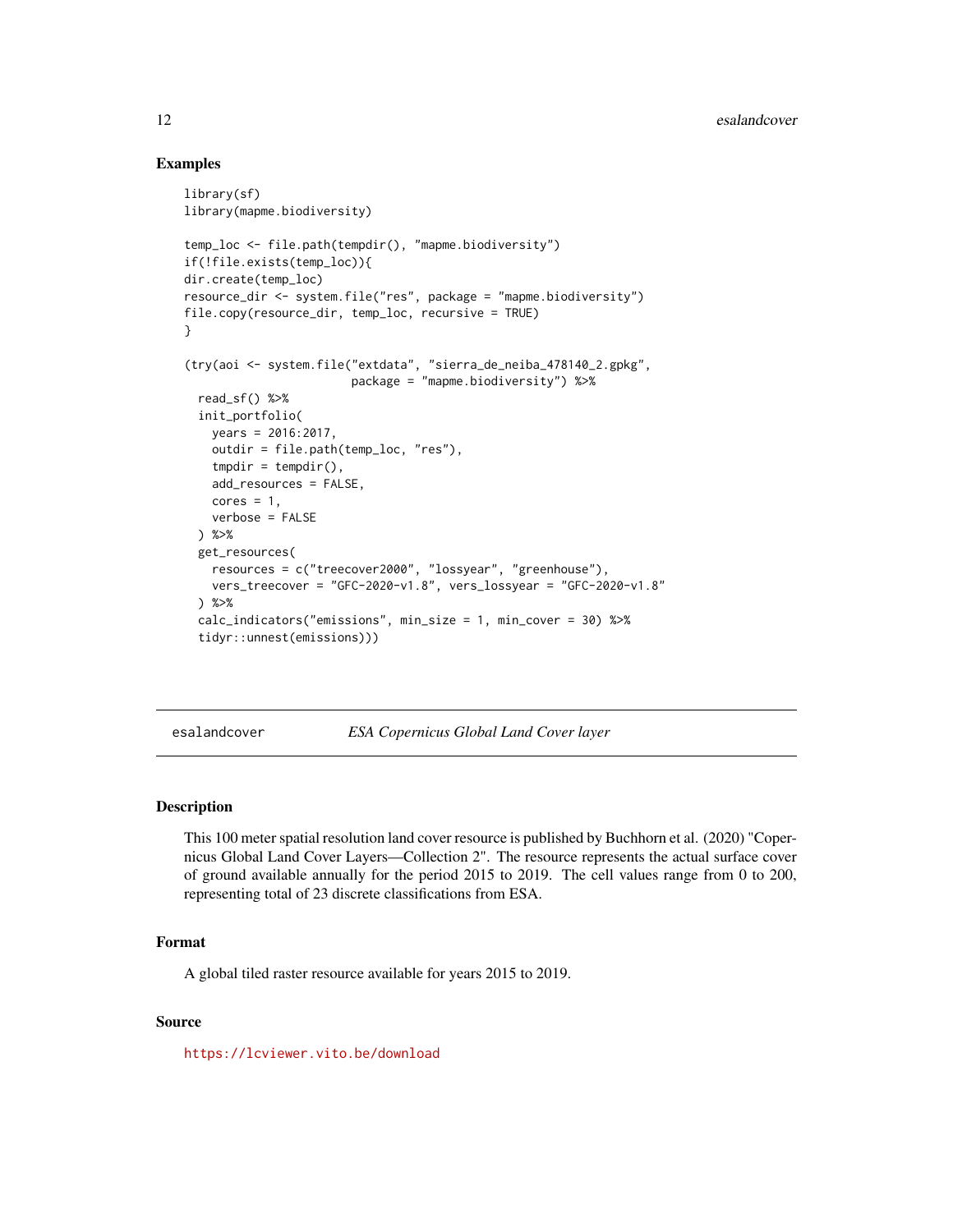#### Examples

```
library(sf)
library(mapme.biodiversity)
temp_loc <- file.path(tempdir(), "mapme.biodiversity")
if(!file.exists(temp_loc)){
dir.create(temp_loc)
resource_dir <- system.file("res", package = "mapme.biodiversity")
file.copy(resource_dir, temp_loc, recursive = TRUE)
}
(try(aoi <- system.file("extdata", "sierra_de_neiba_478140_2.gpkg",
                        package = "mapme.biodiversity") %>%
 read_sf() %>%
 init_portfolio(
   years = 2016:2017,
   outdir = file.path(temp_loc, "res"),
   tmpdir = tempdir(),add_resources = FALSE,
   cores = 1,verbose = FALSE
 ) %>%
 get_resources(
   resources = c("treecover2000", "lossyear", "greenhouse"),
   vers_treecover = "GFC-2020-v1.8", vers_lossyear = "GFC-2020-v1.8"
 ) %>%
 calc_indicators("emissions", min_size = 1, min_cover = 30) %>%
 tidyr::unnest(emissions)))
```
<span id="page-11-1"></span>esalandcover *ESA Copernicus Global Land Cover layer*

#### Description

This 100 meter spatial resolution land cover resource is published by Buchhorn et al. (2020) "Copernicus Global Land Cover Layers—Collection 2". The resource represents the actual surface cover of ground available annually for the period 2015 to 2019. The cell values range from 0 to 200, representing total of 23 discrete classifications from ESA.

#### Format

A global tiled raster resource available for years 2015 to 2019.

#### Source

<https://lcviewer.vito.be/download>

<span id="page-11-0"></span>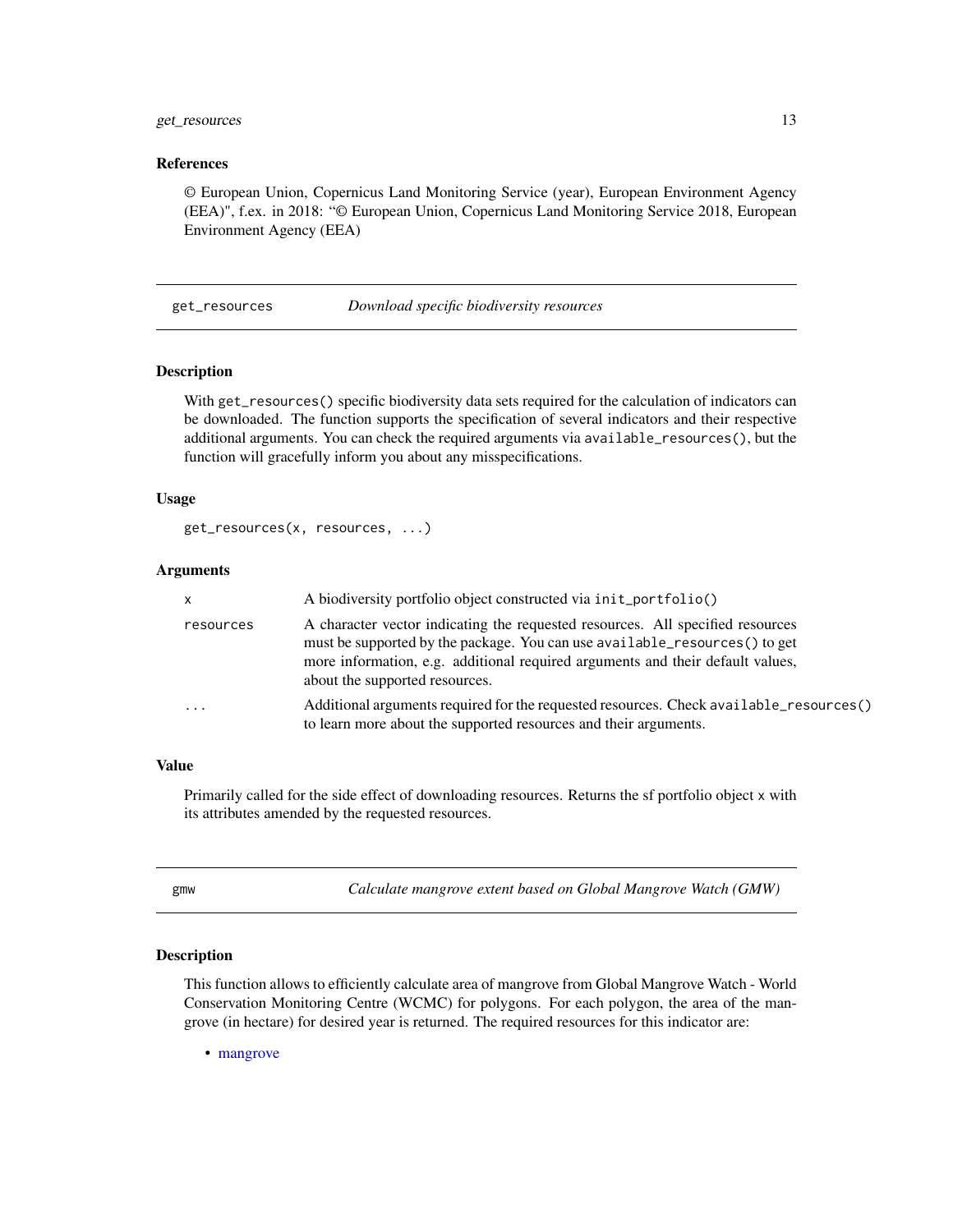#### <span id="page-12-0"></span>get\_resources 13

#### References

© European Union, Copernicus Land Monitoring Service (year), European Environment Agency (EEA)", f.ex. in 2018: "© European Union, Copernicus Land Monitoring Service 2018, European Environment Agency (EEA)

get\_resources *Download specific biodiversity resources*

#### **Description**

With get\_resources() specific biodiversity data sets required for the calculation of indicators can be downloaded. The function supports the specification of several indicators and their respective additional arguments. You can check the required arguments via available\_resources(), but the function will gracefully inform you about any misspecifications.

#### Usage

```
get_resources(x, resources, ...)
```
#### Arguments

| $\mathsf{x}$ | A biodiversity portfolio object constructed via init_portfolio()                                                                                                                                                                                                                 |
|--------------|----------------------------------------------------------------------------------------------------------------------------------------------------------------------------------------------------------------------------------------------------------------------------------|
| resources    | A character vector indicating the requested resources. All specified resources<br>must be supported by the package. You can use available_resources() to get<br>more information, e.g. additional required arguments and their default values,<br>about the supported resources. |
| $\cdot$      | Additional arguments required for the requested resources. Check available_resources()<br>to learn more about the supported resources and their arguments.                                                                                                                       |

#### Value

Primarily called for the side effect of downloading resources. Returns the sf portfolio object x with its attributes amended by the requested resources.

gmw *Calculate mangrove extent based on Global Mangrove Watch (GMW)*

#### Description

This function allows to efficiently calculate area of mangrove from Global Mangrove Watch - World Conservation Monitoring Centre (WCMC) for polygons. For each polygon, the area of the mangrove (in hectare) for desired year is returned. The required resources for this indicator are:

• [mangrove](#page-17-2)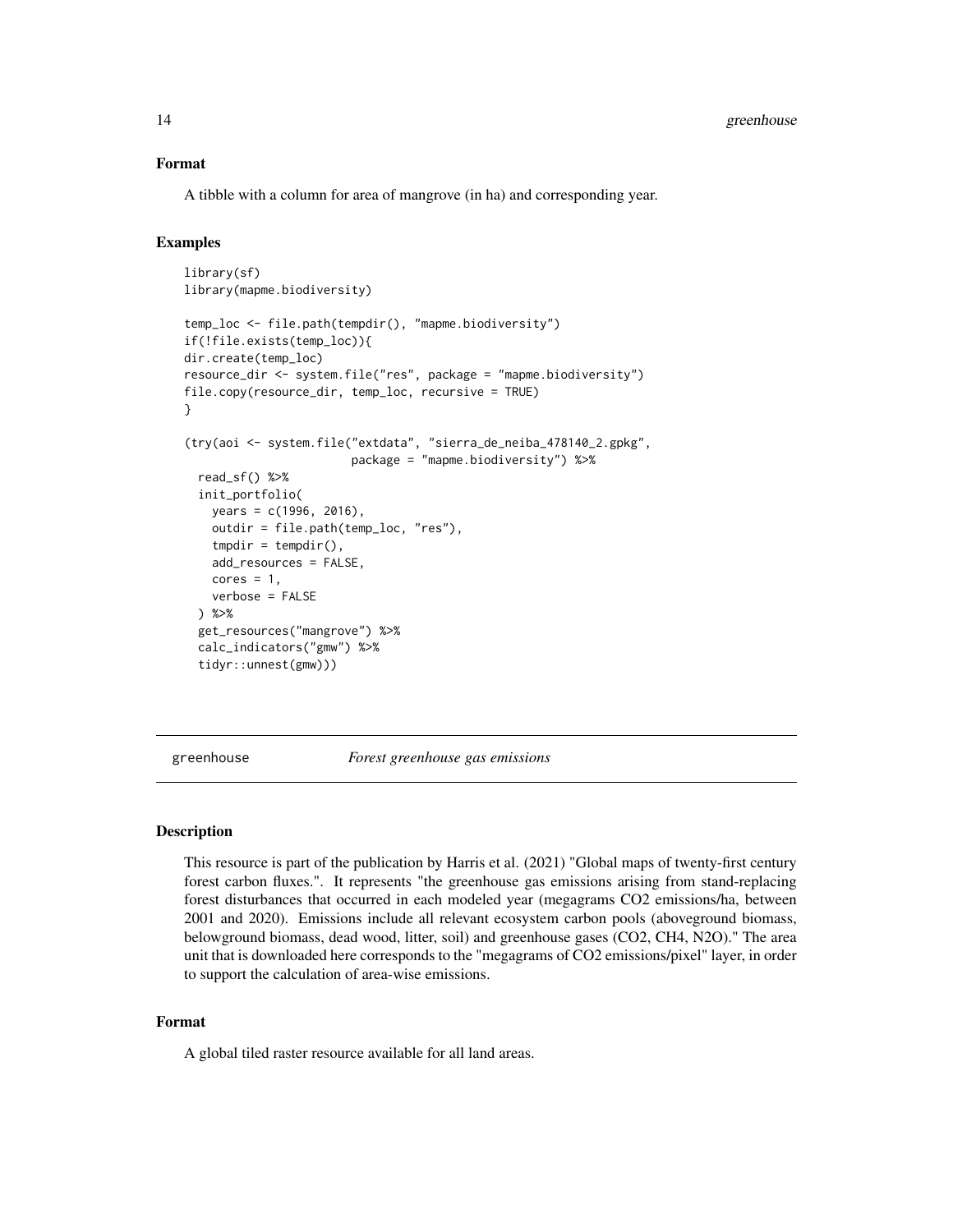#### <span id="page-13-0"></span>Format

A tibble with a column for area of mangrove (in ha) and corresponding year.

#### Examples

```
library(sf)
library(mapme.biodiversity)
temp_loc <- file.path(tempdir(), "mapme.biodiversity")
if(!file.exists(temp_loc)){
dir.create(temp_loc)
resource_dir <- system.file("res", package = "mapme.biodiversity")
file.copy(resource_dir, temp_loc, recursive = TRUE)
}
(try(aoi <- system.file("extdata", "sierra_de_neiba_478140_2.gpkg",
                        package = "mapme.biodiversity") %>%
 read_sf() %>%
 init_portfolio(
   years = c(1996, 2016),
   outdir = file.path(temp_loc, "res"),
   tmpdir = tempdir(),add_resources = FALSE,
   cores = 1,
   verbose = FALSE
 ) %>%
 get_resources("mangrove") %>%
 calc_indicators("gmw") %>%
 tidyr::unnest(gmw)))
```
<span id="page-13-1"></span>greenhouse *Forest greenhouse gas emissions*

#### **Description**

This resource is part of the publication by Harris et al. (2021) "Global maps of twenty-first century forest carbon fluxes.". It represents "the greenhouse gas emissions arising from stand-replacing forest disturbances that occurred in each modeled year (megagrams CO2 emissions/ha, between 2001 and 2020). Emissions include all relevant ecosystem carbon pools (aboveground biomass, belowground biomass, dead wood, litter, soil) and greenhouse gases (CO2, CH4, N2O)." The area unit that is downloaded here corresponds to the "megagrams of CO2 emissions/pixel" layer, in order to support the calculation of area-wise emissions.

#### Format

A global tiled raster resource available for all land areas.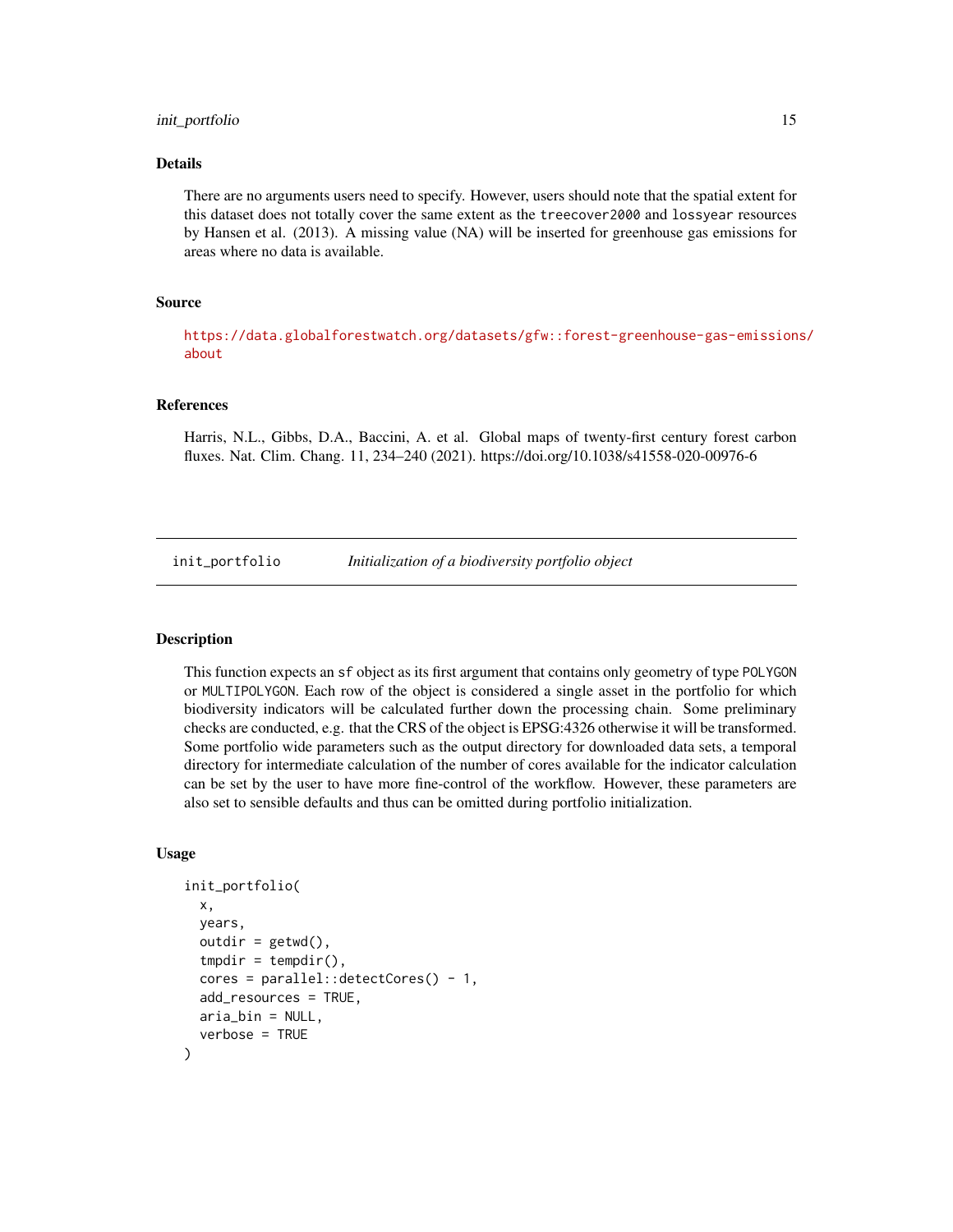#### <span id="page-14-0"></span>init\_portfolio 15

#### Details

There are no arguments users need to specify. However, users should note that the spatial extent for this dataset does not totally cover the same extent as the treecover2000 and lossyear resources by Hansen et al. (2013). A missing value (NA) will be inserted for greenhouse gas emissions for areas where no data is available.

#### Source

[https://data.globalforestwatch.org/datasets/gfw::forest-greenhouse-gas-emission](https://data.globalforestwatch.org/datasets/gfw::forest-greenhouse-gas-emissions/about)s/ [about](https://data.globalforestwatch.org/datasets/gfw::forest-greenhouse-gas-emissions/about)

#### References

Harris, N.L., Gibbs, D.A., Baccini, A. et al. Global maps of twenty-first century forest carbon fluxes. Nat. Clim. Chang. 11, 234–240 (2021). https://doi.org/10.1038/s41558-020-00976-6

init\_portfolio *Initialization of a biodiversity portfolio object*

#### Description

This function expects an sf object as its first argument that contains only geometry of type POLYGON or MULTIPOLYGON. Each row of the object is considered a single asset in the portfolio for which biodiversity indicators will be calculated further down the processing chain. Some preliminary checks are conducted, e.g. that the CRS of the object is EPSG:4326 otherwise it will be transformed. Some portfolio wide parameters such as the output directory for downloaded data sets, a temporal directory for intermediate calculation of the number of cores available for the indicator calculation can be set by the user to have more fine-control of the workflow. However, these parameters are also set to sensible defaults and thus can be omitted during portfolio initialization.

#### Usage

```
init_portfolio(
  x,
 years,
  outdir = getwd(),
  tmpdir = tempdir(),
  cores = parallel::detectCores() - 1,add_resources = TRUE,
  aria_bin = NULL,
  verbose = TRUE
)
```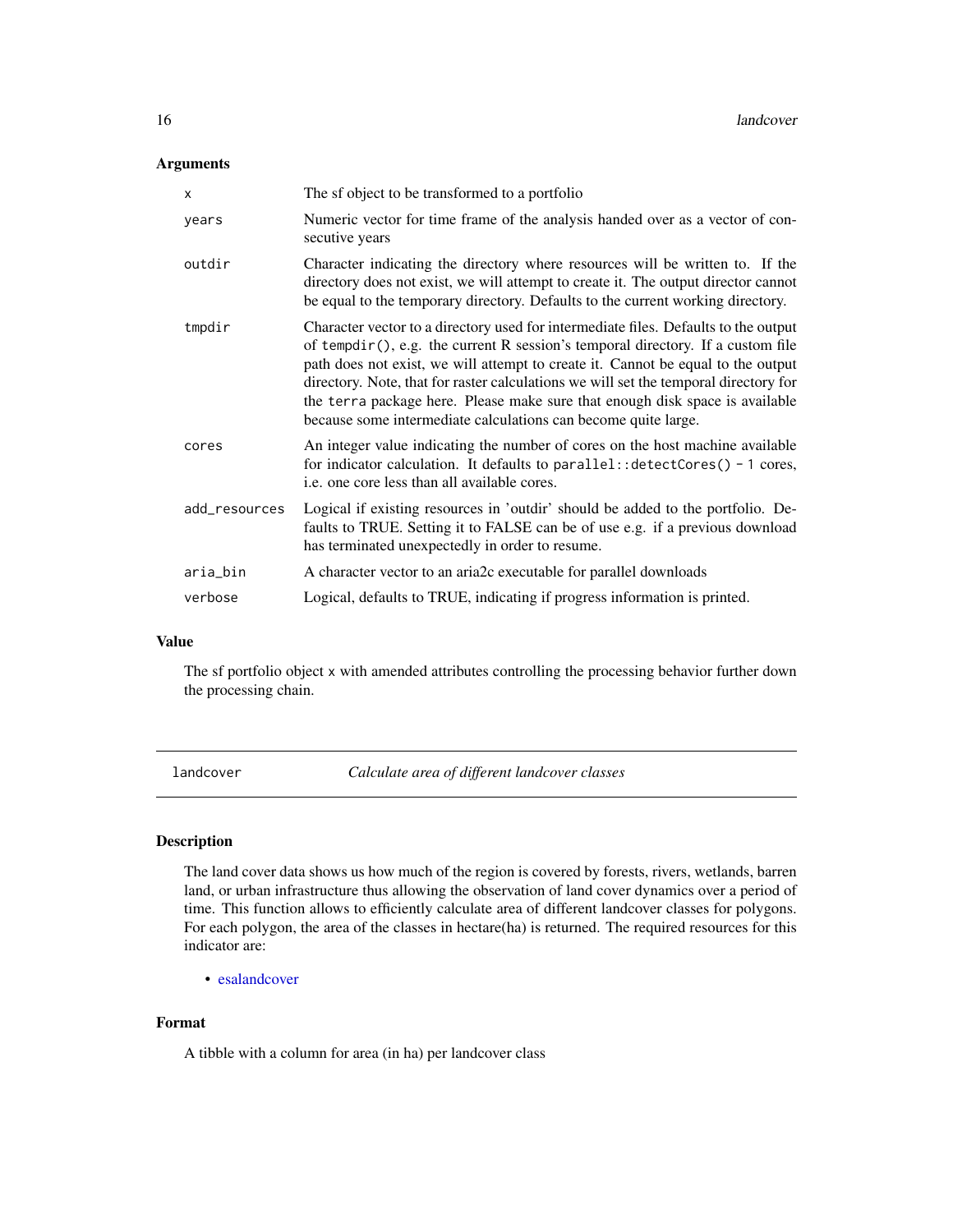#### <span id="page-15-0"></span>Arguments

| X             | The sf object to be transformed to a portfolio                                                                                                                                                                                                                                                                                                                                                                                                                                                       |
|---------------|------------------------------------------------------------------------------------------------------------------------------------------------------------------------------------------------------------------------------------------------------------------------------------------------------------------------------------------------------------------------------------------------------------------------------------------------------------------------------------------------------|
| years         | Numeric vector for time frame of the analysis handed over as a vector of con-<br>secutive years                                                                                                                                                                                                                                                                                                                                                                                                      |
| outdir        | Character indicating the directory where resources will be written to. If the<br>directory does not exist, we will attempt to create it. The output director cannot<br>be equal to the temporary directory. Defaults to the current working directory.                                                                                                                                                                                                                                               |
| tmpdir        | Character vector to a directory used for intermediate files. Defaults to the output<br>of tempdir(), e.g. the current R session's temporal directory. If a custom file<br>path does not exist, we will attempt to create it. Cannot be equal to the output<br>directory. Note, that for raster calculations we will set the temporal directory for<br>the terra package here. Please make sure that enough disk space is available<br>because some intermediate calculations can become quite large. |
| cores         | An integer value indicating the number of cores on the host machine available<br>for indicator calculation. It defaults to parallel:: $detectCores() - 1 cores$ ,<br><i>i.e.</i> one core less than all available cores.                                                                                                                                                                                                                                                                             |
| add_resources | Logical if existing resources in 'outdir' should be added to the portfolio. De-<br>faults to TRUE. Setting it to FALSE can be of use e.g. if a previous download<br>has terminated unexpectedly in order to resume.                                                                                                                                                                                                                                                                                  |
| aria_bin      | A character vector to an aria2c executable for parallel downloads                                                                                                                                                                                                                                                                                                                                                                                                                                    |
| verbose       | Logical, defaults to TRUE, indicating if progress information is printed.                                                                                                                                                                                                                                                                                                                                                                                                                            |

#### Value

The sf portfolio object x with amended attributes controlling the processing behavior further down the processing chain.

landcover *Calculate area of different landcover classes*

#### Description

The land cover data shows us how much of the region is covered by forests, rivers, wetlands, barren land, or urban infrastructure thus allowing the observation of land cover dynamics over a period of time. This function allows to efficiently calculate area of different landcover classes for polygons. For each polygon, the area of the classes in hectare(ha) is returned. The required resources for this indicator are:

• [esalandcover](#page-11-1)

#### Format

A tibble with a column for area (in ha) per landcover class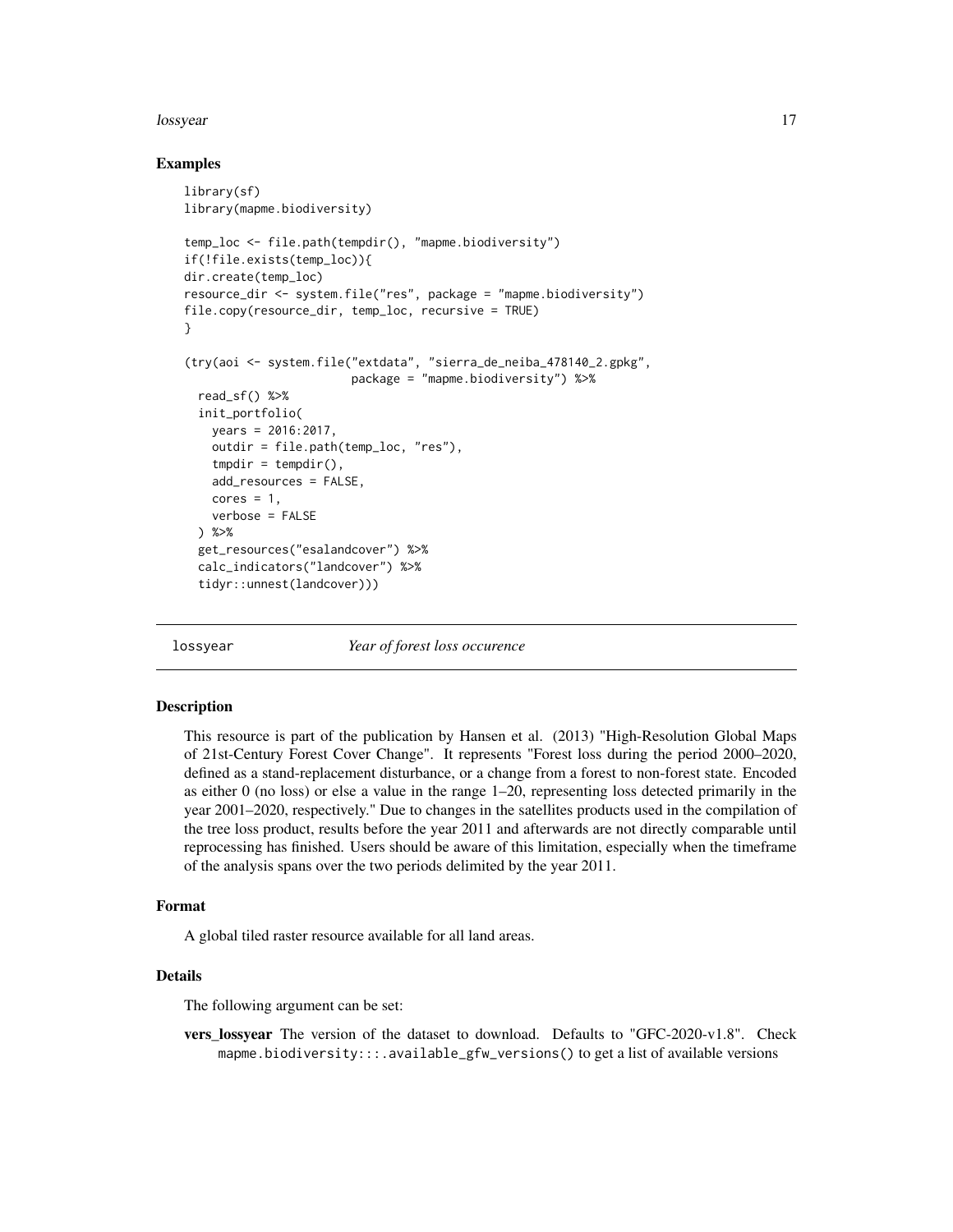#### <span id="page-16-0"></span>lossyear and the contract of the contract of the contract of the contract of the contract of the contract of the contract of the contract of the contract of the contract of the contract of the contract of the contract of t

#### Examples

```
library(sf)
library(mapme.biodiversity)
temp_loc <- file.path(tempdir(), "mapme.biodiversity")
if(!file.exists(temp_loc)){
dir.create(temp_loc)
resource_dir <- system.file("res", package = "mapme.biodiversity")
file.copy(resource_dir, temp_loc, recursive = TRUE)
}
(try(aoi <- system.file("extdata", "sierra_de_neiba_478140_2.gpkg",
                        package = "mapme.biodiversity") %>%
 read_sf() %>%
 init_portfolio(
   years = 2016:2017,
   outdir = file.path(temp_loc, "res"),
   tmpdir = tempdir(),add_resources = FALSE,
   cores = 1,verbose = FALSE
 ) %>%
 get_resources("esalandcover") %>%
 calc_indicators("landcover") %>%
 tidyr::unnest(landcover)))
```
<span id="page-16-1"></span>

lossyear *Year of forest loss occurence*

#### **Description**

This resource is part of the publication by Hansen et al. (2013) "High-Resolution Global Maps of 21st-Century Forest Cover Change". It represents "Forest loss during the period 2000–2020, defined as a stand-replacement disturbance, or a change from a forest to non-forest state. Encoded as either 0 (no loss) or else a value in the range  $1-20$ , representing loss detected primarily in the year 2001–2020, respectively." Due to changes in the satellites products used in the compilation of the tree loss product, results before the year 2011 and afterwards are not directly comparable until reprocessing has finished. Users should be aware of this limitation, especially when the timeframe of the analysis spans over the two periods delimited by the year 2011.

#### Format

A global tiled raster resource available for all land areas.

#### Details

The following argument can be set:

vers lossyear The version of the dataset to download. Defaults to "GFC-2020-v1.8". Check mapme.biodiversity:::.available\_gfw\_versions() to get a list of available versions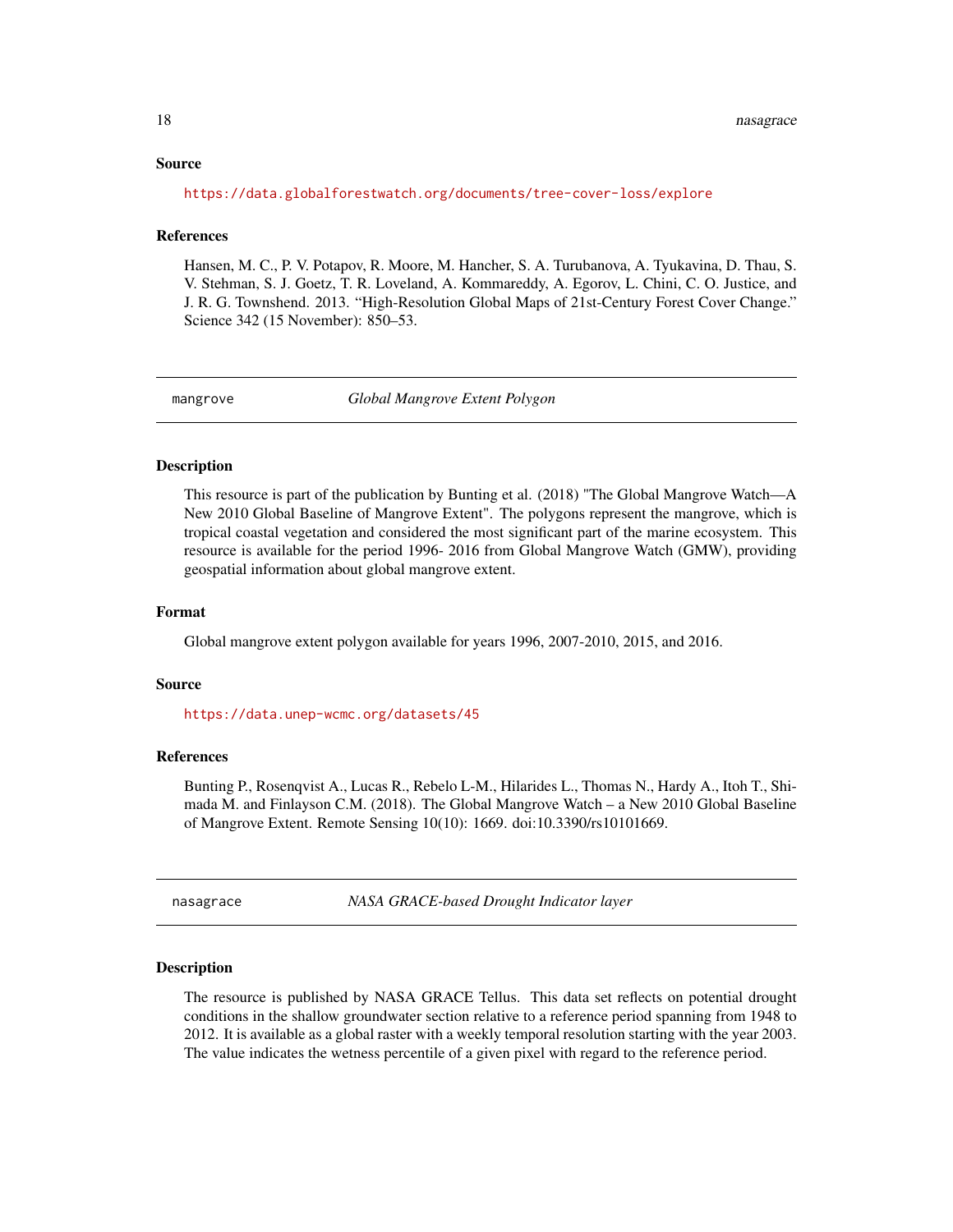#### <span id="page-17-0"></span>Source

<https://data.globalforestwatch.org/documents/tree-cover-loss/explore>

#### **References**

Hansen, M. C., P. V. Potapov, R. Moore, M. Hancher, S. A. Turubanova, A. Tyukavina, D. Thau, S. V. Stehman, S. J. Goetz, T. R. Loveland, A. Kommareddy, A. Egorov, L. Chini, C. O. Justice, and J. R. G. Townshend. 2013. "High-Resolution Global Maps of 21st-Century Forest Cover Change." Science 342 (15 November): 850–53.

<span id="page-17-2"></span>

mangrove *Global Mangrove Extent Polygon*

#### Description

This resource is part of the publication by Bunting et al. (2018) "The Global Mangrove Watch—A New 2010 Global Baseline of Mangrove Extent". The polygons represent the mangrove, which is tropical coastal vegetation and considered the most significant part of the marine ecosystem. This resource is available for the period 1996- 2016 from Global Mangrove Watch (GMW), providing geospatial information about global mangrove extent.

#### Format

Global mangrove extent polygon available for years 1996, 2007-2010, 2015, and 2016.

#### Source

<https://data.unep-wcmc.org/datasets/45>

#### References

Bunting P., Rosenqvist A., Lucas R., Rebelo L-M., Hilarides L., Thomas N., Hardy A., Itoh T., Shimada M. and Finlayson C.M. (2018). The Global Mangrove Watch – a New 2010 Global Baseline of Mangrove Extent. Remote Sensing 10(10): 1669. doi:10.3390/rs10101669.

<span id="page-17-1"></span>nasagrace *NASA GRACE-based Drought Indicator layer*

#### Description

The resource is published by NASA GRACE Tellus. This data set reflects on potential drought conditions in the shallow groundwater section relative to a reference period spanning from 1948 to 2012. It is available as a global raster with a weekly temporal resolution starting with the year 2003. The value indicates the wetness percentile of a given pixel with regard to the reference period.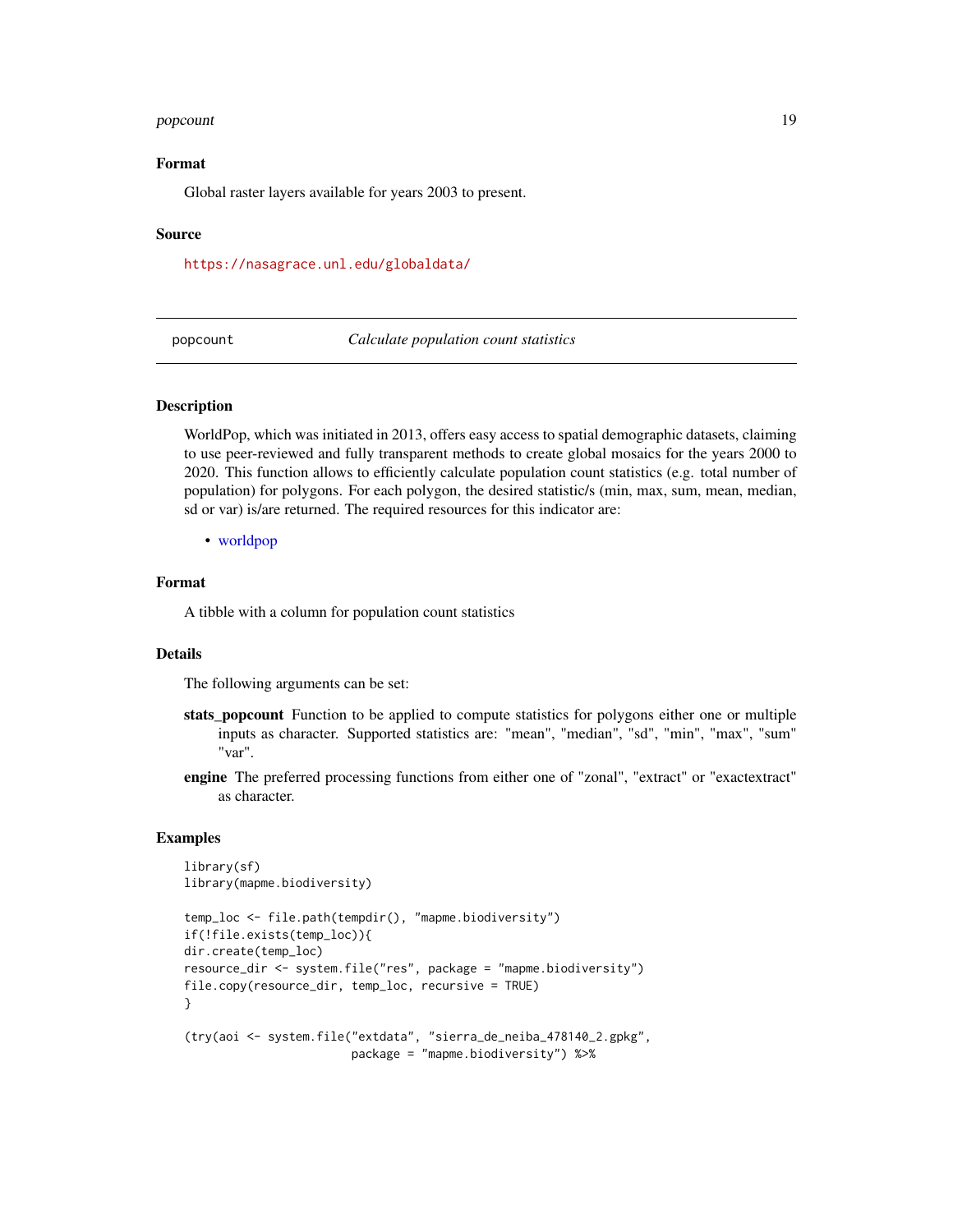#### <span id="page-18-0"></span>popcount that the contract of the contract of the contract of the contract of the contract of the contract of the contract of the contract of the contract of the contract of the contract of the contract of the contract of

#### Format

Global raster layers available for years 2003 to present.

#### Source

<https://nasagrace.unl.edu/globaldata/>

popcount *Calculate population count statistics*

#### Description

WorldPop, which was initiated in 2013, offers easy access to spatial demographic datasets, claiming to use peer-reviewed and fully transparent methods to create global mosaics for the years 2000 to 2020. This function allows to efficiently calculate population count statistics (e.g. total number of population) for polygons. For each polygon, the desired statistic/s (min, max, sum, mean, median, sd or var) is/are returned. The required resources for this indicator are:

• [worldpop](#page-33-1)

#### Format

A tibble with a column for population count statistics

#### **Details**

The following arguments can be set:

- stats\_popcount Function to be applied to compute statistics for polygons either one or multiple inputs as character. Supported statistics are: "mean", "median", "sd", "min", "max", "sum" "var".
- engine The preferred processing functions from either one of "zonal", "extract" or "exactextract" as character.

```
library(sf)
library(mapme.biodiversity)
```

```
temp_loc <- file.path(tempdir(), "mapme.biodiversity")
if(!file.exists(temp_loc)){
dir.create(temp_loc)
resource_dir <- system.file("res", package = "mapme.biodiversity")
file.copy(resource_dir, temp_loc, recursive = TRUE)
}
(try(aoi <- system.file("extdata", "sierra_de_neiba_478140_2.gpkg",
                        package = "mapme.biodiversity") %>%
```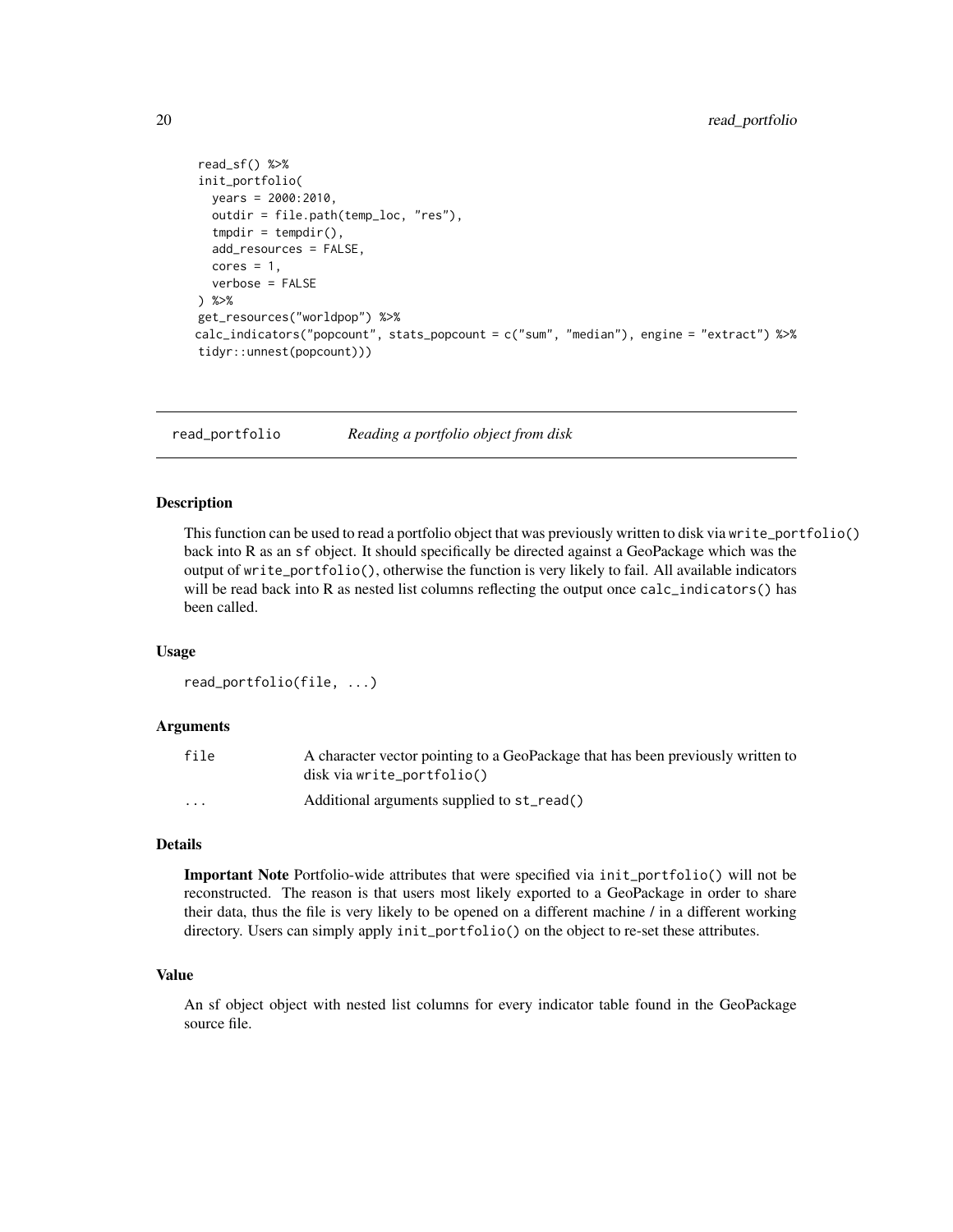```
read_sf() %>%
init_portfolio(
  years = 2000:2010,
  outdir = file.path(temp_loc, "res"),
  tmpdir = tempdir(),add_resources = FALSE,
  cores = 1,verbose = FALSE
) %>%
get_resources("worldpop") %>%
calc_indicators("popcount", stats_popcount = c("sum", "median"), engine = "extract") %>%
tidyr::unnest(popcount)))
```
read\_portfolio *Reading a portfolio object from disk*

#### Description

This function can be used to read a portfolio object that was previously written to disk via write\_portfolio() back into R as an sf object. It should specifically be directed against a GeoPackage which was the output of write\_portfolio(), otherwise the function is very likely to fail. All available indicators will be read back into R as nested list columns reflecting the output once calc\_indicators() has been called.

#### Usage

```
read_portfolio(file, ...)
```
#### Arguments

| file                    | A character vector pointing to a GeoPackage that has been previously written to<br>disk via write_portfolio() |
|-------------------------|---------------------------------------------------------------------------------------------------------------|
| $\cdot$ $\cdot$ $\cdot$ | Additional arguments supplied to st_read()                                                                    |

#### Details

Important Note Portfolio-wide attributes that were specified via init\_portfolio() will not be reconstructed. The reason is that users most likely exported to a GeoPackage in order to share their data, thus the file is very likely to be opened on a different machine / in a different working directory. Users can simply apply init\_portfolio() on the object to re-set these attributes.

#### Value

An sf object object with nested list columns for every indicator table found in the GeoPackage source file.

<span id="page-19-0"></span>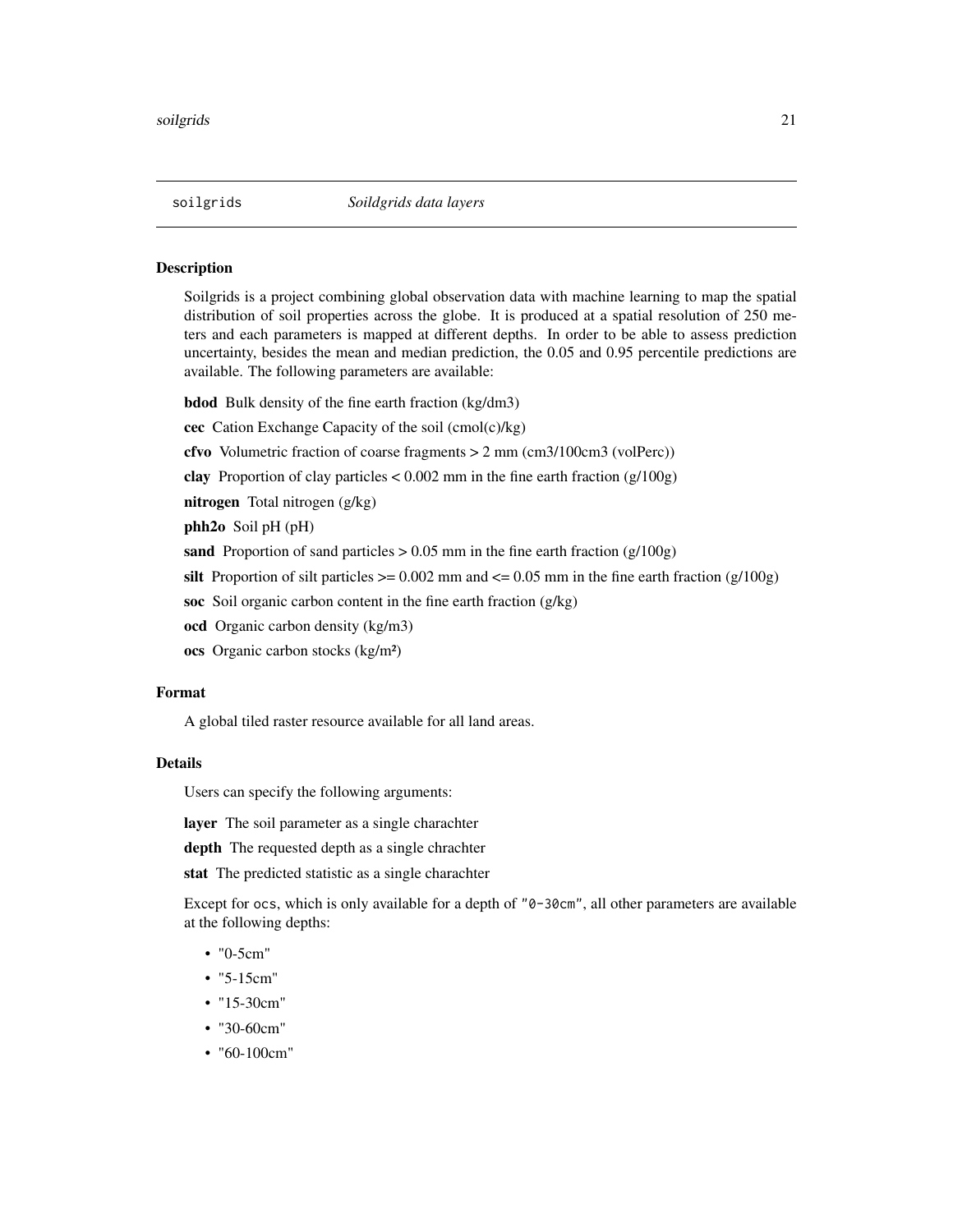#### <span id="page-20-1"></span><span id="page-20-0"></span>Description

Soilgrids is a project combining global observation data with machine learning to map the spatial distribution of soil properties across the globe. It is produced at a spatial resolution of 250 meters and each parameters is mapped at different depths. In order to be able to assess prediction uncertainty, besides the mean and median prediction, the 0.05 and 0.95 percentile predictions are available. The following parameters are available:

bdod Bulk density of the fine earth fraction (kg/dm3)

- cec Cation Exchange Capacity of the soil (cmol(c)/kg)
- cfvo Volumetric fraction of coarse fragments > 2 mm (cm3/100cm3 (volPerc))
- clay Proportion of clay particles  $< 0.002$  mm in the fine earth fraction (g/100g)
- nitrogen Total nitrogen (g/kg)
- phh2o Soil pH (pH)
- sand Proportion of sand particles  $> 0.05$  mm in the fine earth fraction (g/100g)
- silt Proportion of silt particles  $>= 0.002$  mm and  $<= 0.05$  mm in the fine earth fraction (g/100g)
- soc Soil organic carbon content in the fine earth fraction (g/kg)
- ocd Organic carbon density (kg/m3)
- ocs Organic carbon stocks (kg/m²)

#### Format

A global tiled raster resource available for all land areas.

#### Details

Users can specify the following arguments:

layer The soil parameter as a single charachter

depth The requested depth as a single chrachter

stat The predicted statistic as a single charachter

Except for ocs, which is only available for a depth of "0-30cm", all other parameters are available at the following depths:

- "0-5cm"
- "5-15cm"
- "15-30cm"
- "30-60cm"
- "60-100cm"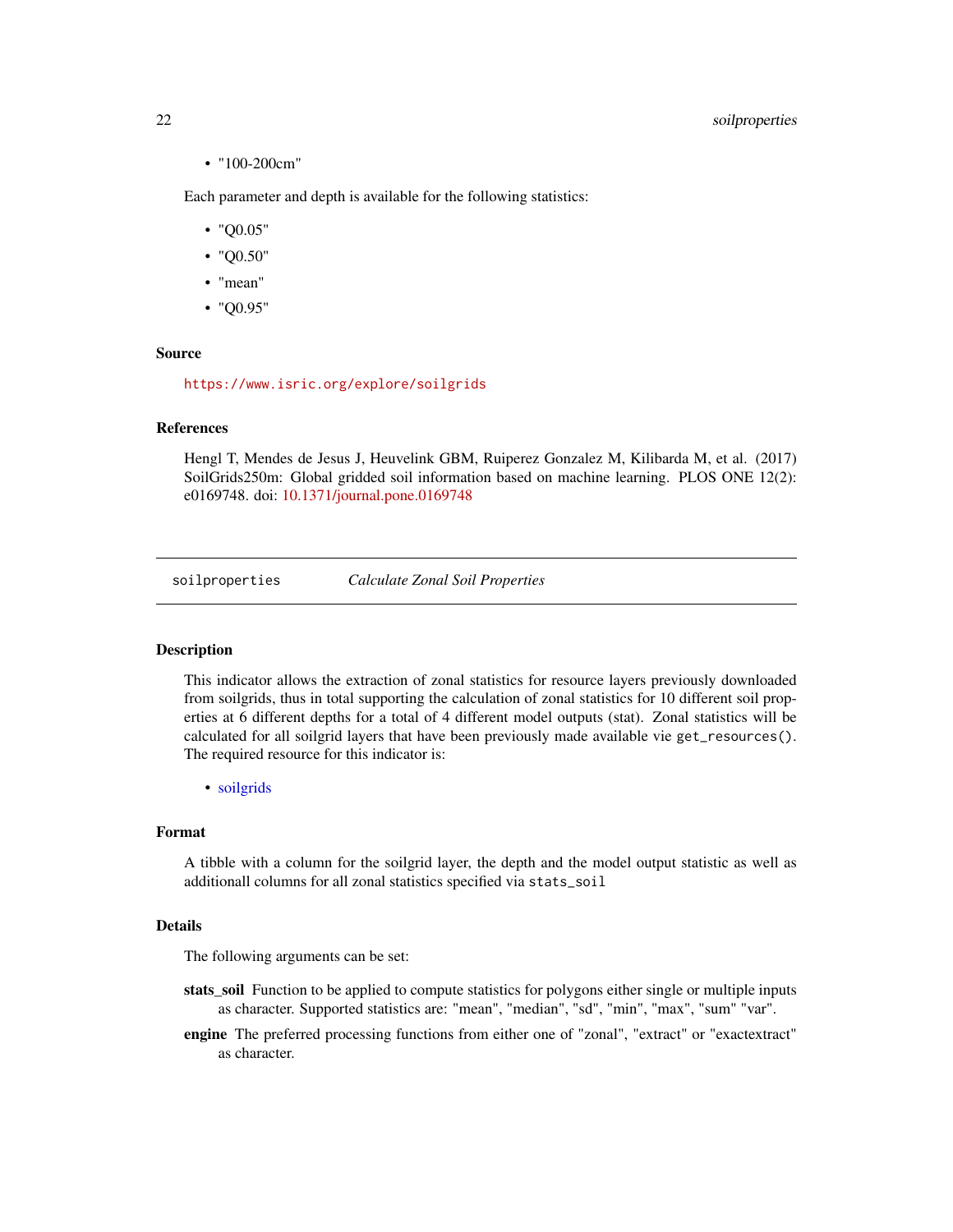#### <span id="page-21-0"></span>22 soilproperties

• "100-200cm"

Each parameter and depth is available for the following statistics:

- "Q0.05"
- "Q0.50"
- "mean"
- "Q0.95"

#### Source

<https://www.isric.org/explore/soilgrids>

#### References

Hengl T, Mendes de Jesus J, Heuvelink GBM, Ruiperez Gonzalez M, Kilibarda M, et al. (2017) SoilGrids250m: Global gridded soil information based on machine learning. PLOS ONE 12(2): e0169748. doi: [10.1371/journal.pone.0169748](https://doi.org/10.1371/journal.pone.0169748)

soilproperties *Calculate Zonal Soil Properties*

#### **Description**

This indicator allows the extraction of zonal statistics for resource layers previously downloaded from soilgrids, thus in total supporting the calculation of zonal statistics for 10 different soil properties at 6 different depths for a total of 4 different model outputs (stat). Zonal statistics will be calculated for all soilgrid layers that have been previously made available vie get\_resources(). The required resource for this indicator is:

• [soilgrids](#page-20-1)

#### Format

A tibble with a column for the soilgrid layer, the depth and the model output statistic as well as additionall columns for all zonal statistics specified via stats\_soil

#### Details

- stats\_soil Function to be applied to compute statistics for polygons either single or multiple inputs as character. Supported statistics are: "mean", "median", "sd", "min", "max", "sum" "var".
- engine The preferred processing functions from either one of "zonal", "extract" or "exactextract" as character.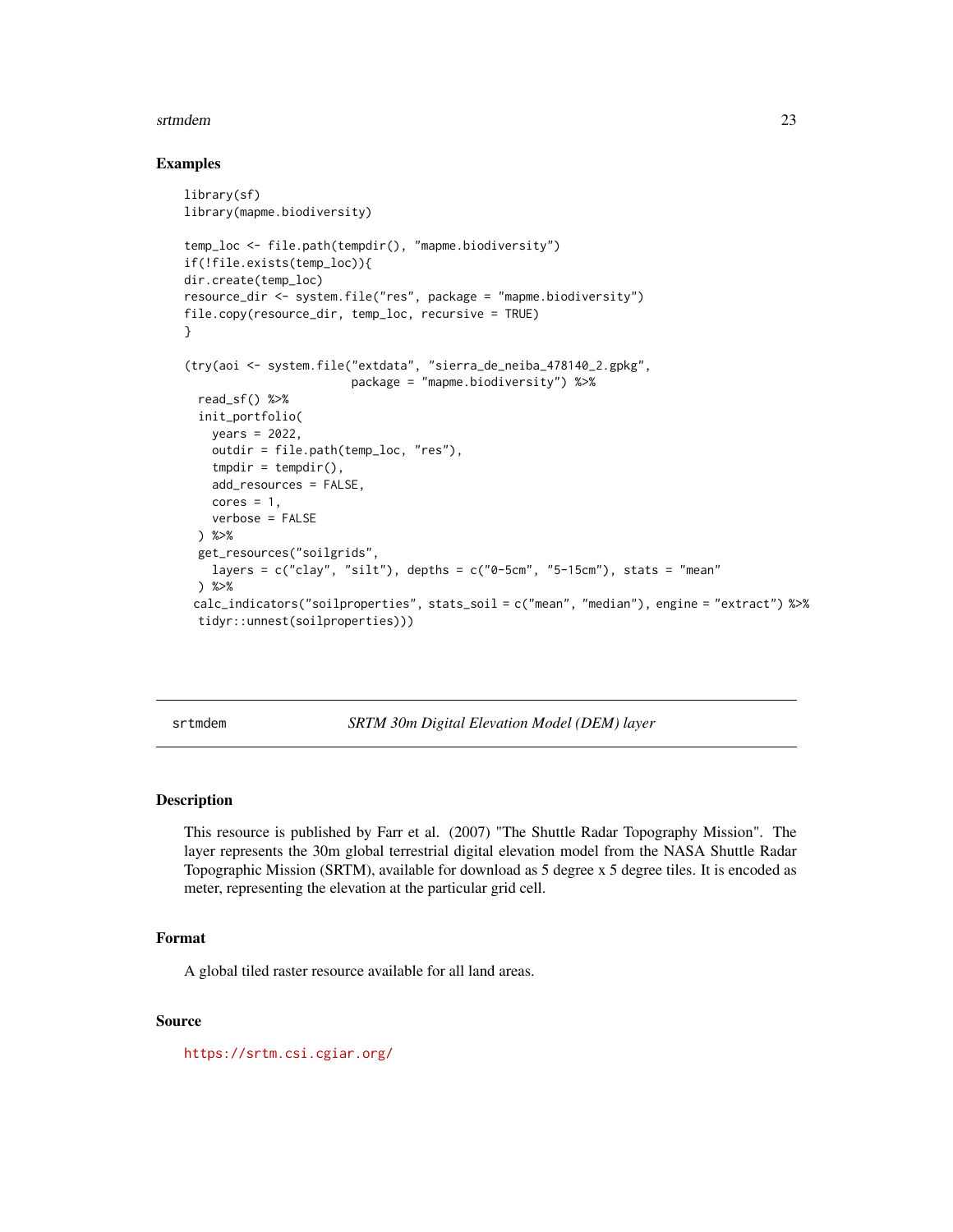#### <span id="page-22-0"></span>srtmdem 23

#### Examples

```
library(sf)
library(mapme.biodiversity)
temp_loc <- file.path(tempdir(), "mapme.biodiversity")
if(!file.exists(temp_loc)){
dir.create(temp_loc)
resource_dir <- system.file("res", package = "mapme.biodiversity")
file.copy(resource_dir, temp_loc, recursive = TRUE)
}
(try(aoi <- system.file("extdata", "sierra_de_neiba_478140_2.gpkg",
                        package = "mapme.biodiversity") %>%
 read_sf() %>%
 init_portfolio(
   years = 2022,
   outdir = file.path(temp_loc, "res"),
   tmpdir = tempdir(),add_resources = FALSE,
   cores = 1,verbose = FALSE
 ) %>%
 get_resources("soilgrids",
   layers = c("clay", "silt"), depths = c("0-5cm", "5-15cm"), stats = "mean") %>%
 calc_indicators("soilproperties", stats_soil = c("mean", "median"), engine = "extract") %>%
 tidyr::unnest(soilproperties)))
```
<span id="page-22-1"></span>srtmdem *SRTM 30m Digital Elevation Model (DEM) layer*

#### Description

This resource is published by Farr et al. (2007) "The Shuttle Radar Topography Mission". The layer represents the 30m global terrestrial digital elevation model from the NASA Shuttle Radar Topographic Mission (SRTM), available for download as 5 degree x 5 degree tiles. It is encoded as meter, representing the elevation at the particular grid cell.

#### Format

A global tiled raster resource available for all land areas.

#### Source

<https://srtm.csi.cgiar.org/>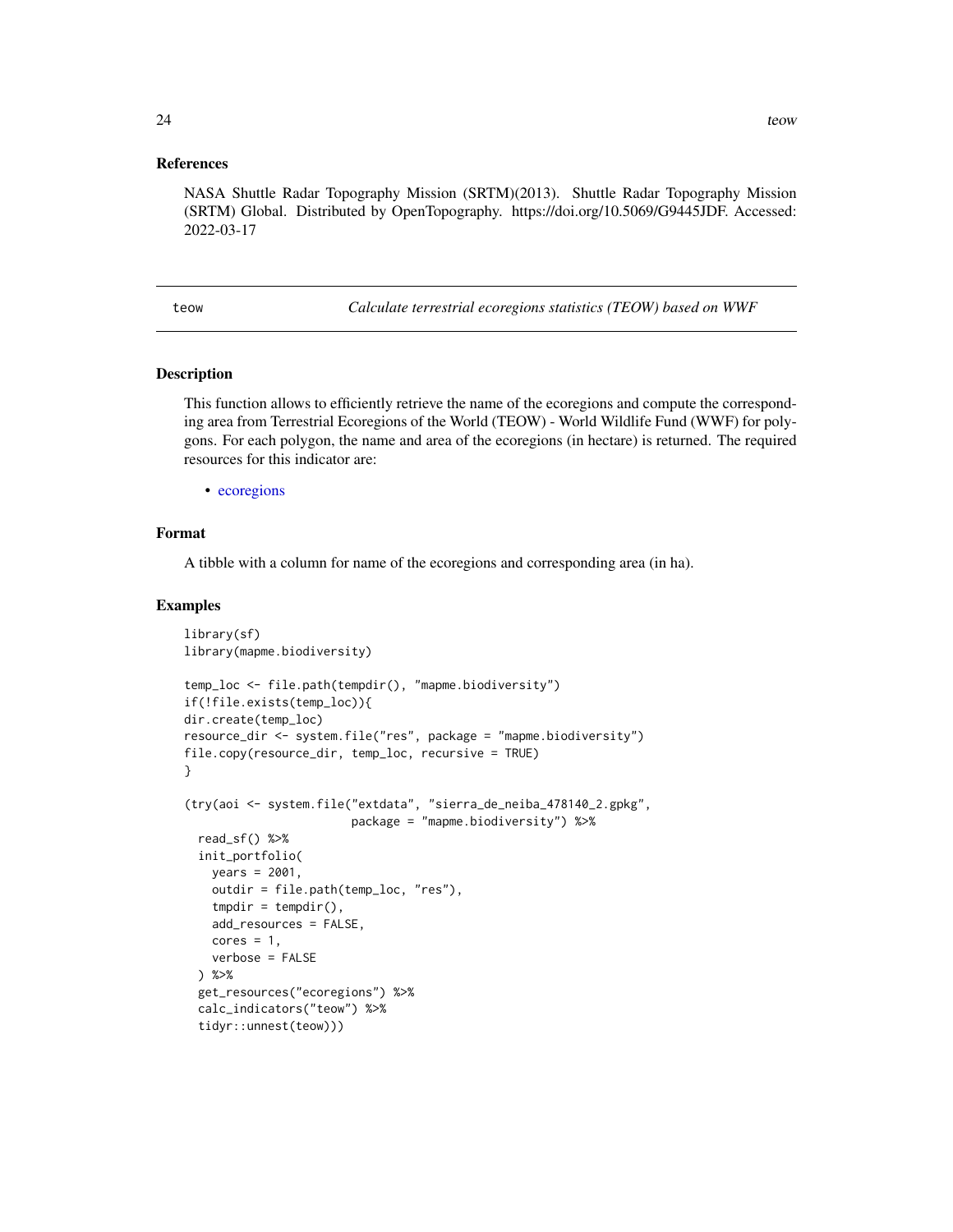#### <span id="page-23-0"></span>References

NASA Shuttle Radar Topography Mission (SRTM)(2013). Shuttle Radar Topography Mission (SRTM) Global. Distributed by OpenTopography. https://doi.org/10.5069/G9445JDF. Accessed: 2022-03-17

teow *Calculate terrestrial ecoregions statistics (TEOW) based on WWF*

#### Description

This function allows to efficiently retrieve the name of the ecoregions and compute the corresponding area from Terrestrial Ecoregions of the World (TEOW) - World Wildlife Fund (WWF) for polygons. For each polygon, the name and area of the ecoregions (in hectare) is returned. The required resources for this indicator are:

• [ecoregions](#page-8-1)

#### Format

A tibble with a column for name of the ecoregions and corresponding area (in ha).

```
library(sf)
library(mapme.biodiversity)
temp_loc <- file.path(tempdir(), "mapme.biodiversity")
if(!file.exists(temp_loc)){
dir.create(temp_loc)
resource_dir <- system.file("res", package = "mapme.biodiversity")
file.copy(resource_dir, temp_loc, recursive = TRUE)
}
(try(aoi <- system.file("extdata", "sierra_de_neiba_478140_2.gpkg",
                        package = "mapme.biodiversity") %>%
 read_sf() %>%
 init_portfolio(
   years = 2001,
   outdir = file.path(temp_loc, "res"),
   tmpdir = tempdir(),add_resources = FALSE,
   cores = 1,verbose = FALSE
 ) %>%
 get_resources("ecoregions") %>%
 calc_indicators("teow") %>%
 tidyr::unnest(teow)))
```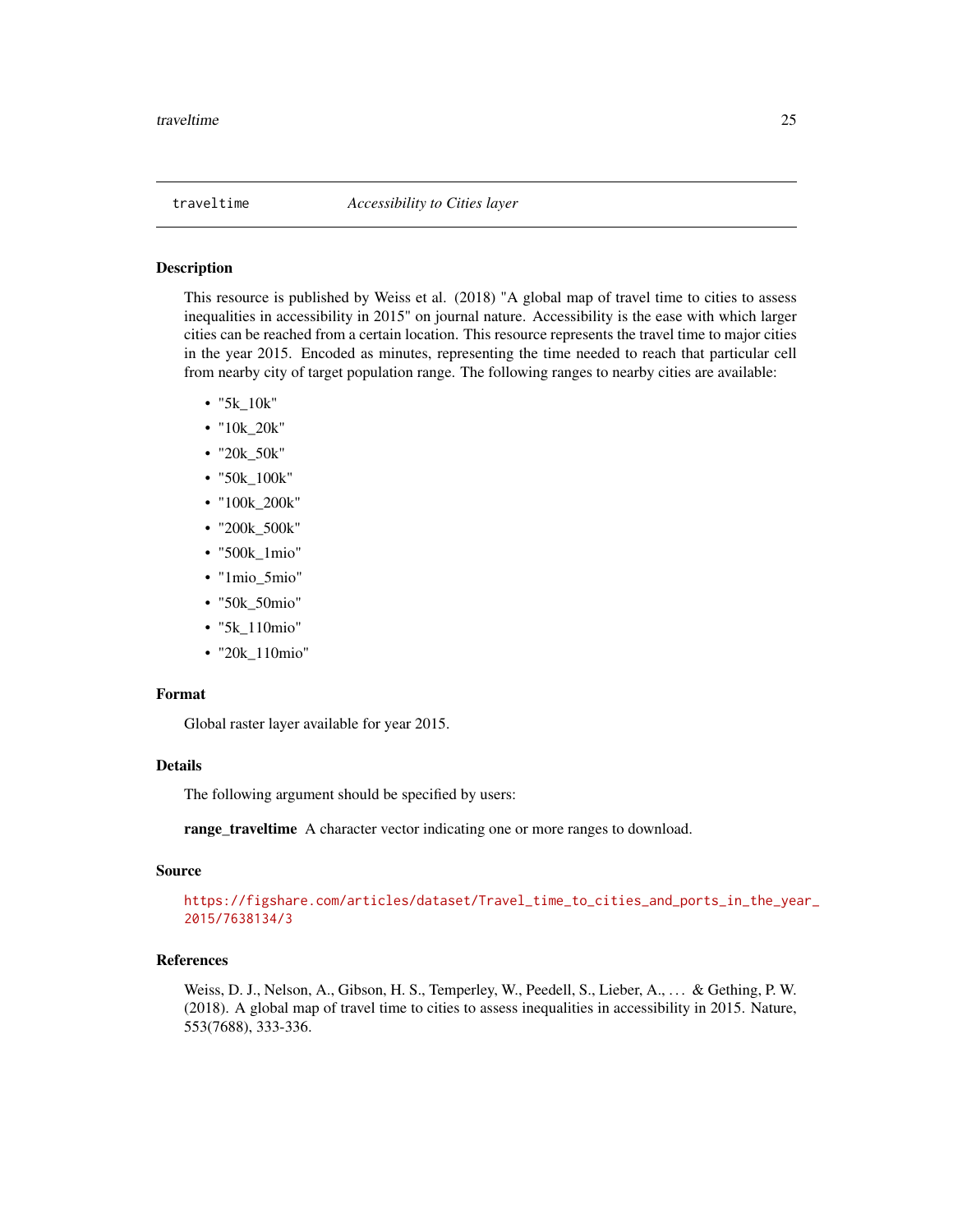#### <span id="page-24-1"></span><span id="page-24-0"></span>Description

This resource is published by Weiss et al. (2018) "A global map of travel time to cities to assess inequalities in accessibility in 2015" on journal nature. Accessibility is the ease with which larger cities can be reached from a certain location. This resource represents the travel time to major cities in the year 2015. Encoded as minutes, representing the time needed to reach that particular cell from nearby city of target population range. The following ranges to nearby cities are available:

- "5k\_10k"
- "10k\_20k"
- "20k\_50k"
- "50k\_100k"
- "100k\_200k"
- "200k\_500k"
- "500k\_1mio"
- "1mio\_5mio"
- "50k\_50mio"
- "5k\_110mio"
- "20k\_110mio"

#### Format

Global raster layer available for year 2015.

#### Details

The following argument should be specified by users:

range\_traveltime A character vector indicating one or more ranges to download.

#### Source

[https://figshare.com/articles/dataset/Travel\\_time\\_to\\_cities\\_and\\_ports\\_in\\_the\\_yea](https://figshare.com/articles/dataset/Travel_time_to_cities_and_ports_in_the_year_2015/7638134/3)r\_ [2015/7638134/3](https://figshare.com/articles/dataset/Travel_time_to_cities_and_ports_in_the_year_2015/7638134/3)

#### References

Weiss, D. J., Nelson, A., Gibson, H. S., Temperley, W., Peedell, S., Lieber, A., . . . & Gething, P. W. (2018). A global map of travel time to cities to assess inequalities in accessibility in 2015. Nature, 553(7688), 333-336.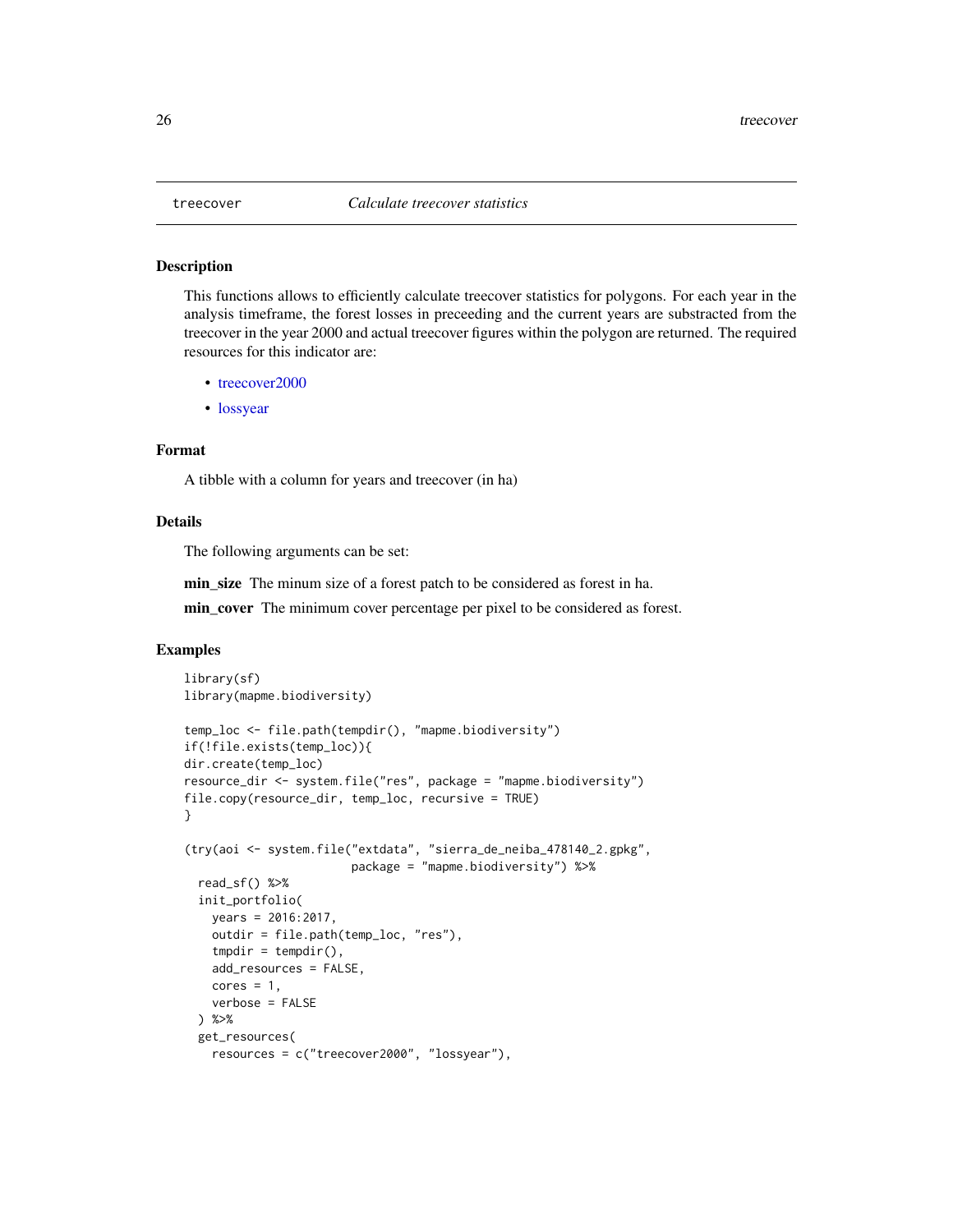<span id="page-25-0"></span>

#### Description

This functions allows to efficiently calculate treecover statistics for polygons. For each year in the analysis timeframe, the forest losses in preceeding and the current years are substracted from the treecover in the year 2000 and actual treecover figures within the polygon are returned. The required resources for this indicator are:

- [treecover2000](#page-26-1)
- [lossyear](#page-16-1)

#### Format

A tibble with a column for years and treecover (in ha)

#### Details

The following arguments can be set:

min size The minum size of a forest patch to be considered as forest in ha.

min\_cover The minimum cover percentage per pixel to be considered as forest.

```
library(sf)
library(mapme.biodiversity)
temp_loc <- file.path(tempdir(), "mapme.biodiversity")
if(!file.exists(temp_loc)){
dir.create(temp_loc)
resource_dir <- system.file("res", package = "mapme.biodiversity")
file.copy(resource_dir, temp_loc, recursive = TRUE)
}
(try(aoi <- system.file("extdata", "sierra_de_neiba_478140_2.gpkg",
                        package = "mapme.biodiversity") %>%
  read_sf() %>%
  init_portfolio(
   years = 2016:2017,
   outdir = file.path(temp_loc, "res"),
    tmpdir = tempdir(),add_resources = FALSE,
    cores = 1,verbose = FALSE
  ) %>%
  get_resources(
   resources = c("treecover2000", "lossyear"),
```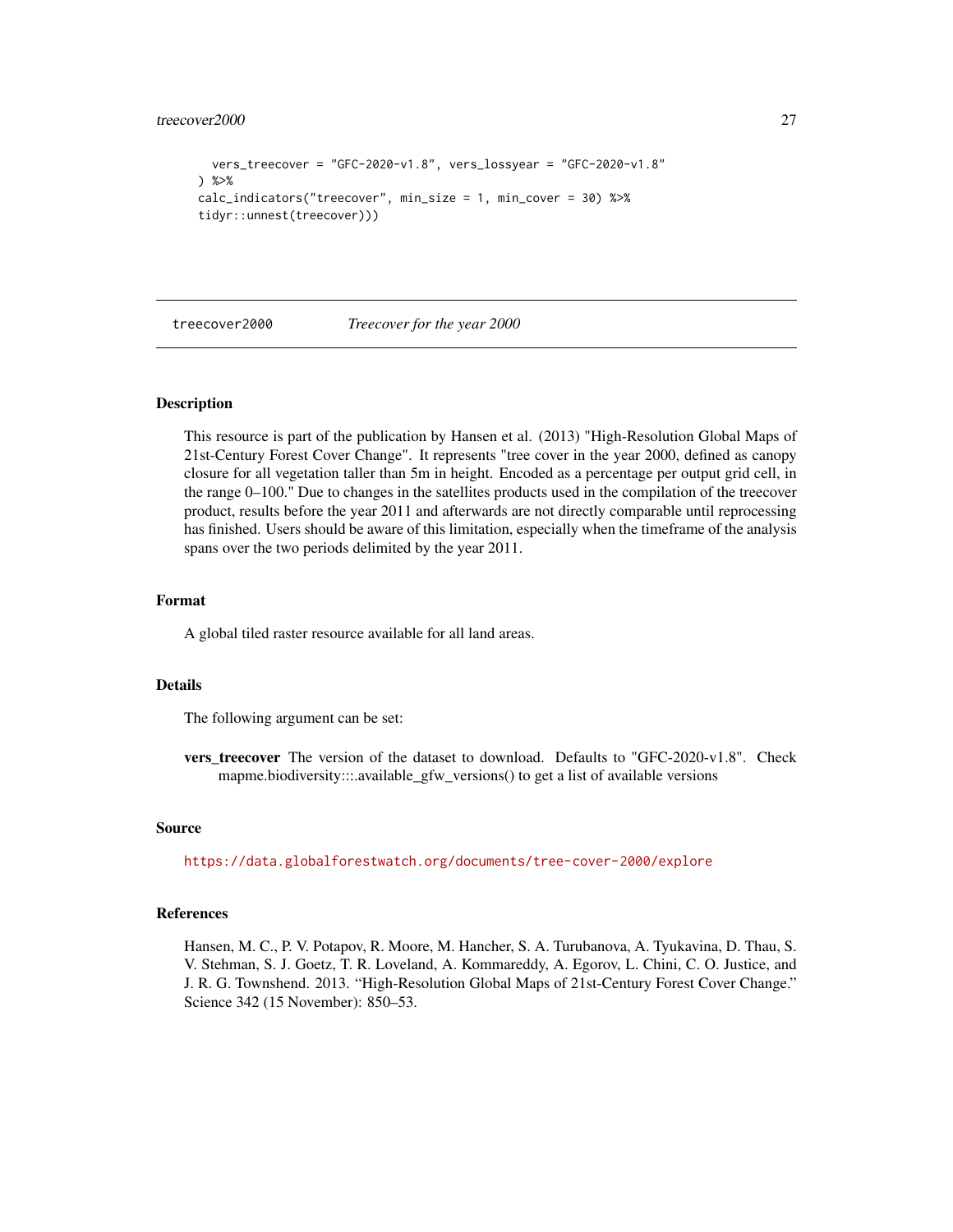```
vers_treecover = "GFC-2020-v1.8", vers_lossyear = "GFC-2020-v1.8"
) %>%
calc_indicators("treecover", min_size = 1, min_cover = 30) %>%
tidyr::unnest(treecover)))
```
<span id="page-26-1"></span>

treecover2000 *Treecover for the year 2000*

#### Description

This resource is part of the publication by Hansen et al. (2013) "High-Resolution Global Maps of 21st-Century Forest Cover Change". It represents "tree cover in the year 2000, defined as canopy closure for all vegetation taller than 5m in height. Encoded as a percentage per output grid cell, in the range 0–100." Due to changes in the satellites products used in the compilation of the treecover product, results before the year 2011 and afterwards are not directly comparable until reprocessing has finished. Users should be aware of this limitation, especially when the timeframe of the analysis spans over the two periods delimited by the year 2011.

#### Format

A global tiled raster resource available for all land areas.

#### Details

The following argument can be set:

vers\_treecover The version of the dataset to download. Defaults to "GFC-2020-v1.8". Check mapme.biodiversity:::.available\_gfw\_versions() to get a list of available versions

#### Source

<https://data.globalforestwatch.org/documents/tree-cover-2000/explore>

#### References

Hansen, M. C., P. V. Potapov, R. Moore, M. Hancher, S. A. Turubanova, A. Tyukavina, D. Thau, S. V. Stehman, S. J. Goetz, T. R. Loveland, A. Kommareddy, A. Egorov, L. Chini, C. O. Justice, and J. R. G. Townshend. 2013. "High-Resolution Global Maps of 21st-Century Forest Cover Change." Science 342 (15 November): 850–53.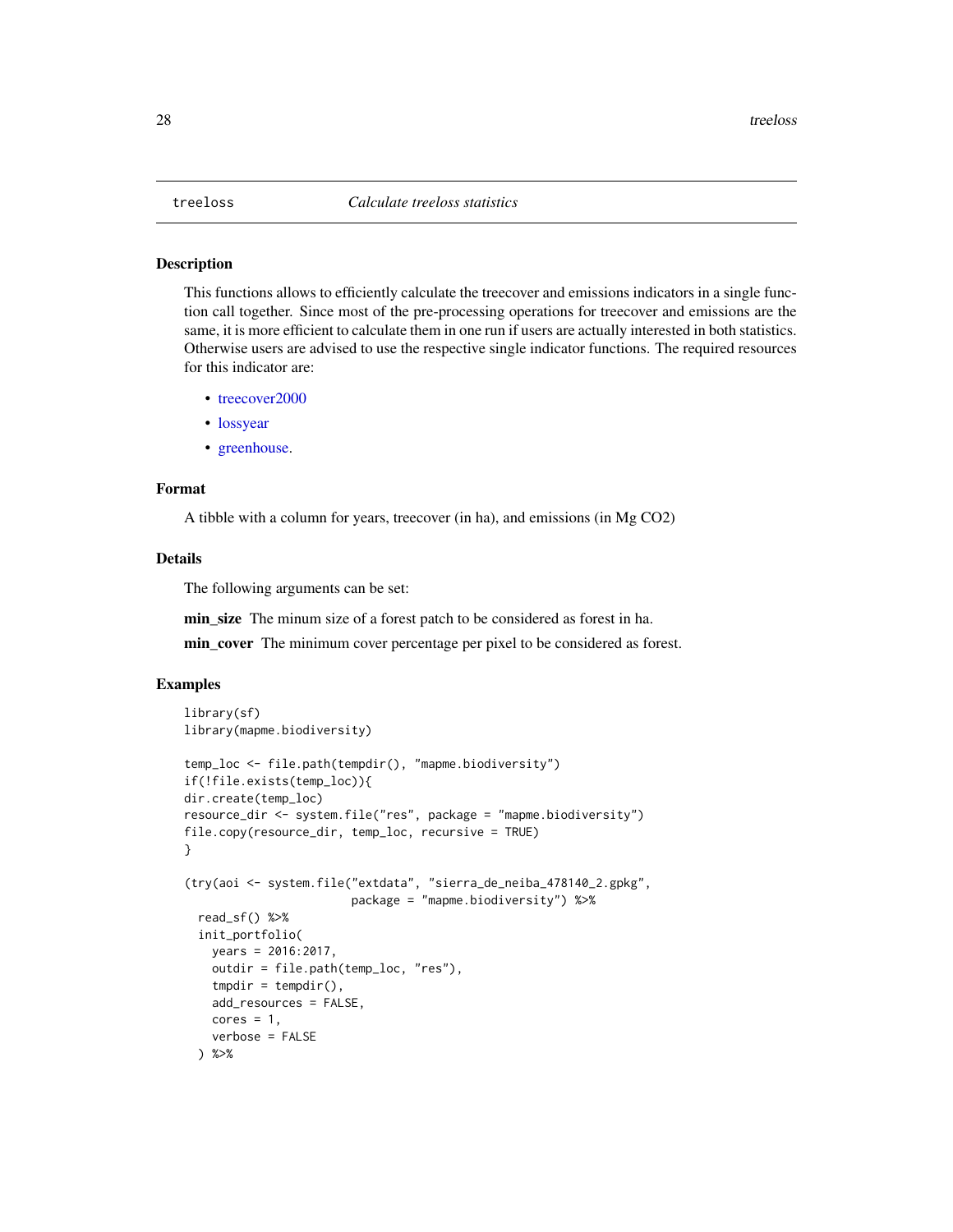#### <span id="page-27-0"></span>Description

This functions allows to efficiently calculate the treecover and emissions indicators in a single function call together. Since most of the pre-processing operations for treecover and emissions are the same, it is more efficient to calculate them in one run if users are actually interested in both statistics. Otherwise users are advised to use the respective single indicator functions. The required resources for this indicator are:

- [treecover2000](#page-26-1)
- [lossyear](#page-16-1)
- [greenhouse.](#page-13-1)

#### Format

A tibble with a column for years, treecover (in ha), and emissions (in Mg CO2)

#### Details

The following arguments can be set:

min size The minum size of a forest patch to be considered as forest in ha.

min\_cover The minimum cover percentage per pixel to be considered as forest.

```
library(sf)
library(mapme.biodiversity)
temp_loc <- file.path(tempdir(), "mapme.biodiversity")
if(!file.exists(temp_loc)){
dir.create(temp_loc)
resource_dir <- system.file("res", package = "mapme.biodiversity")
file.copy(resource_dir, temp_loc, recursive = TRUE)
}
(try(aoi <- system.file("extdata", "sierra_de_neiba_478140_2.gpkg",
                        package = "mapme.biodiversity") %>%
 read_sf() %>%
 init_portfolio(
   years = 2016:2017,
   outdir = file.path(temp_loc, "res"),
    tmpdir = tempdir(),add_resources = FALSE,
   cores = 1,verbose = FALSE
 ) %>%
```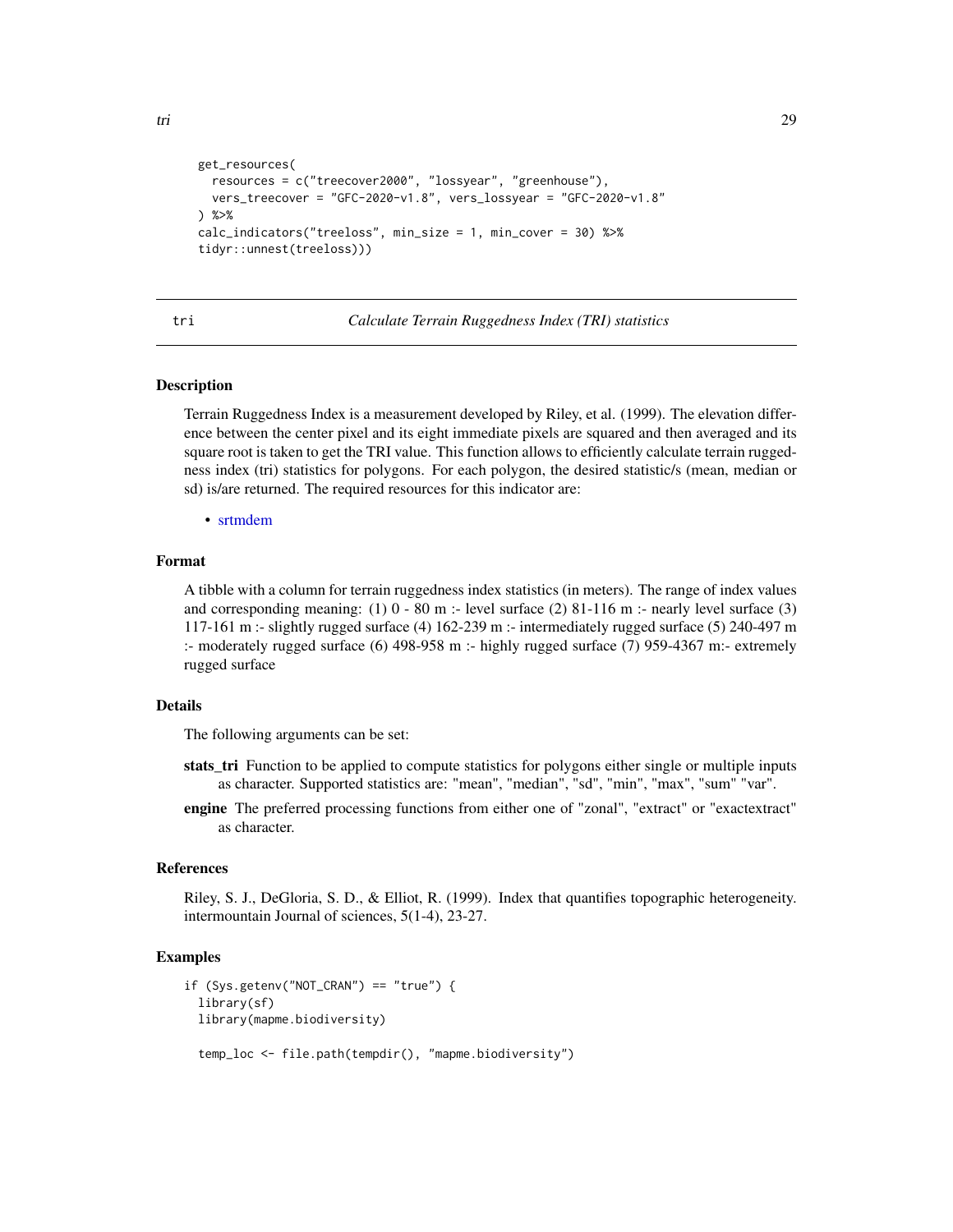```
get_resources(
  resources = c("treecover2000", "lossyear", "greenhouse"),
  vers_treecover = "GFC-2020-v1.8", vers_lossyear = "GFC-2020-v1.8"
) %>%
calc_indicators("treeloss", min_size = 1, min_cover = 30) %>%
tidyr::unnest(treeloss)))
```
tri *Calculate Terrain Ruggedness Index (TRI) statistics*

#### Description

Terrain Ruggedness Index is a measurement developed by Riley, et al. (1999). The elevation difference between the center pixel and its eight immediate pixels are squared and then averaged and its square root is taken to get the TRI value. This function allows to efficiently calculate terrain ruggedness index (tri) statistics for polygons. For each polygon, the desired statistic/s (mean, median or sd) is/are returned. The required resources for this indicator are:

• [srtmdem](#page-22-1)

#### Format

A tibble with a column for terrain ruggedness index statistics (in meters). The range of index values and corresponding meaning:  $(1)$  0 - 80 m :- level surface  $(2)$  81-116 m :- nearly level surface  $(3)$ 117-161 m :- slightly rugged surface (4) 162-239 m :- intermediately rugged surface (5) 240-497 m :- moderately rugged surface (6) 498-958 m :- highly rugged surface (7) 959-4367 m:- extremely rugged surface

#### Details

The following arguments can be set:

- stats\_tri Function to be applied to compute statistics for polygons either single or multiple inputs as character. Supported statistics are: "mean", "median", "sd", "min", "max", "sum" "var".
- engine The preferred processing functions from either one of "zonal", "extract" or "exactextract" as character.

#### References

Riley, S. J., DeGloria, S. D., & Elliot, R. (1999). Index that quantifies topographic heterogeneity. intermountain Journal of sciences, 5(1-4), 23-27.

```
if (Sys.getenv("NOT_CRAN") == "true") {
 library(sf)
 library(mapme.biodiversity)
 temp_loc <- file.path(tempdir(), "mapme.biodiversity")
```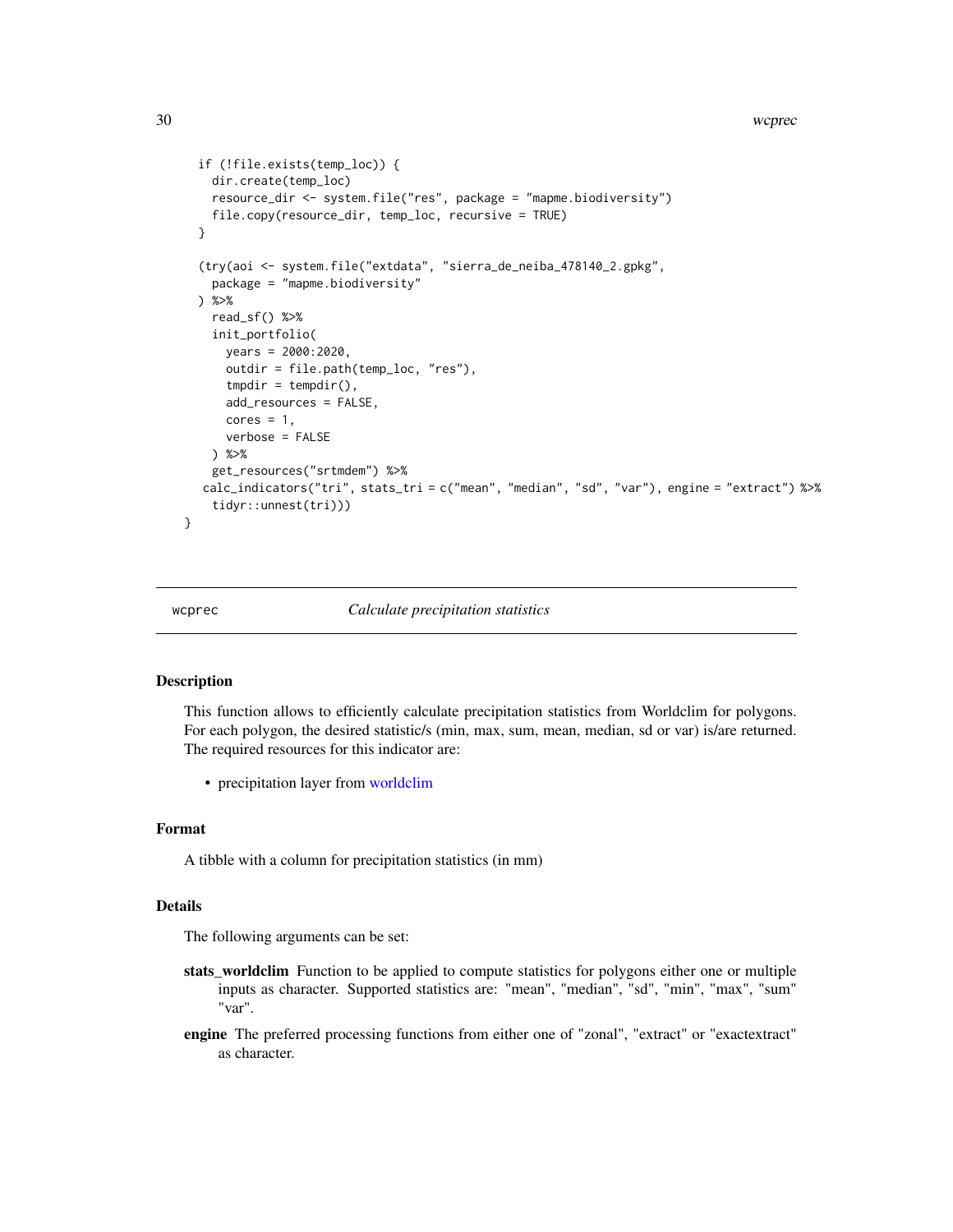#### 30 wcprec

```
if (!file.exists(temp_loc)) {
   dir.create(temp_loc)
   resource_dir <- system.file("res", package = "mapme.biodiversity")
   file.copy(resource_dir, temp_loc, recursive = TRUE)
 }
  (try(aoi <- system.file("extdata", "sierra_de_neiba_478140_2.gpkg",
   package = "mapme.biodiversity"
 ) %>%
   read_sf() %>%
    init_portfolio(
     years = 2000:2020,
     outdir = file.path(temp_loc, "res"),
     tmpdir = tempdir(),add_resources = FALSE,
     cores = 1,verbose = FALSE
   ) %>%
    get_resources("srtmdem") %>%
  calc_indicators("tri", stats_tri = c("mean", "median", "sd", "var"), engine = "extract") %>%
    tidyr::unnest(tri)))
}
```
#### wcprec *Calculate precipitation statistics*

#### Description

This function allows to efficiently calculate precipitation statistics from Worldclim for polygons. For each polygon, the desired statistic/s (min, max, sum, mean, median, sd or var) is/are returned. The required resources for this indicator are:

• precipitation layer from [worldclim](#page-32-1)

#### Format

A tibble with a column for precipitation statistics (in mm)

#### Details

- stats\_worldclim Function to be applied to compute statistics for polygons either one or multiple inputs as character. Supported statistics are: "mean", "median", "sd", "min", "max", "sum" "var".
- engine The preferred processing functions from either one of "zonal", "extract" or "exactextract" as character.

<span id="page-29-0"></span>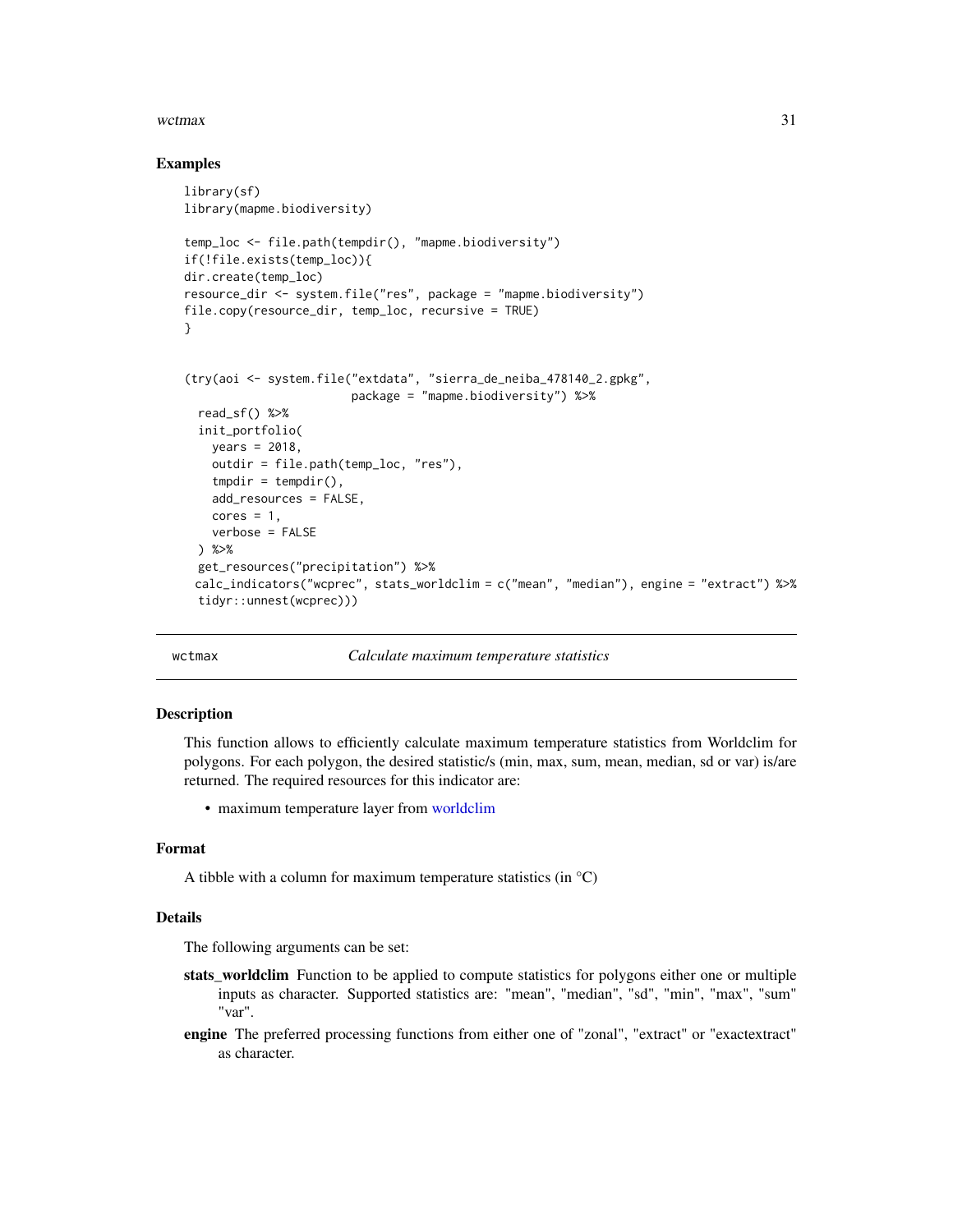#### <span id="page-30-0"></span>wctmax  $31$

#### Examples

```
library(sf)
library(mapme.biodiversity)
temp_loc <- file.path(tempdir(), "mapme.biodiversity")
if(!file.exists(temp_loc)){
dir.create(temp_loc)
resource_dir <- system.file("res", package = "mapme.biodiversity")
file.copy(resource_dir, temp_loc, recursive = TRUE)
}
(try(aoi <- system.file("extdata", "sierra_de_neiba_478140_2.gpkg",
                        package = "mapme.biodiversity") %>%
 read_sf() %>%
 init_portfolio(
   years = 2018,
   outdir = file.path(temp_loc, "res"),
   tmpdir = tempdir(),
   add_resources = FALSE,
   cores = 1,
   verbose = FALSE
 ) %>%
 get_resources("precipitation") %>%
 calc_indicators("wcprec", stats_worldclim = c("mean", "median"), engine = "extract") %>%
 tidyr::unnest(wcprec)))
```
wctmax *Calculate maximum temperature statistics*

#### **Description**

This function allows to efficiently calculate maximum temperature statistics from Worldclim for polygons. For each polygon, the desired statistic/s (min, max, sum, mean, median, sd or var) is/are returned. The required resources for this indicator are:

• maximum temperature layer from [worldclim](#page-32-1)

#### Format

A tibble with a column for maximum temperature statistics (in  $^{\circ}C$ )

#### Details

- stats\_worldclim Function to be applied to compute statistics for polygons either one or multiple inputs as character. Supported statistics are: "mean", "median", "sd", "min", "max", "sum" "var".
- engine The preferred processing functions from either one of "zonal", "extract" or "exactextract" as character.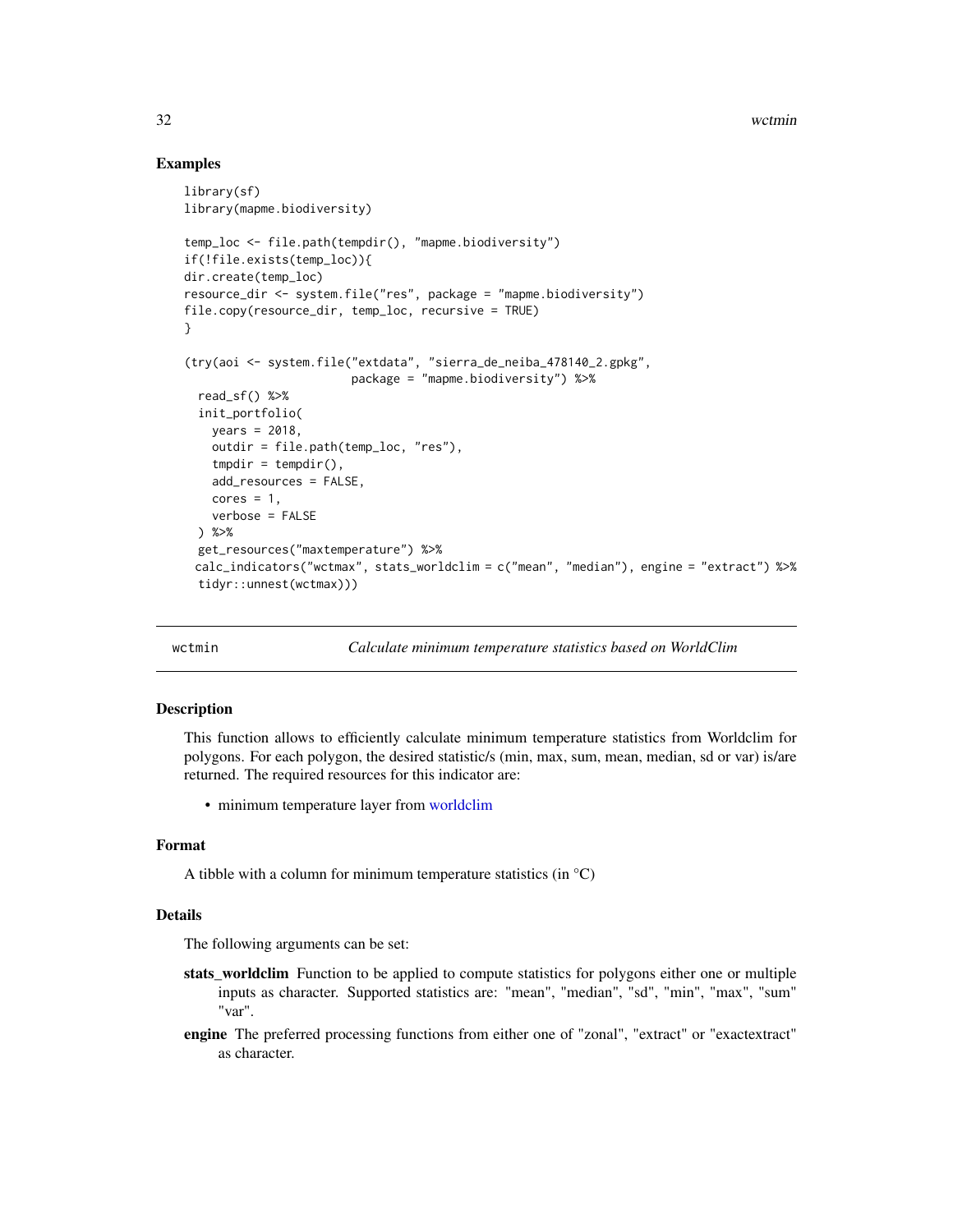#### Examples

```
library(sf)
library(mapme.biodiversity)
temp_loc <- file.path(tempdir(), "mapme.biodiversity")
if(!file.exists(temp_loc)){
dir.create(temp_loc)
resource_dir <- system.file("res", package = "mapme.biodiversity")
file.copy(resource_dir, temp_loc, recursive = TRUE)
}
(try(aoi <- system.file("extdata", "sierra_de_neiba_478140_2.gpkg",
                        package = "mapme.biodiversity") %>%
 read_sf() %>%
 init_portfolio(
   years = 2018,
   outdir = file.path(temp_loc, "res"),
   tmpdir = tempdir(),add_resources = FALSE,
   cores = 1,verbose = FALSE
 ) %>%
 get_resources("maxtemperature") %>%
 calc_indicators("wctmax", stats_worldclim = c("mean", "median"), engine = "extract") %>%
 tidyr::unnest(wctmax)))
```
wctmin *Calculate minimum temperature statistics based on WorldClim*

#### Description

This function allows to efficiently calculate minimum temperature statistics from Worldclim for polygons. For each polygon, the desired statistic/s (min, max, sum, mean, median, sd or var) is/are returned. The required resources for this indicator are:

• minimum temperature layer from [worldclim](#page-32-1)

#### Format

A tibble with a column for minimum temperature statistics (in  $^{\circ}C$ )

#### Details

- stats\_worldclim Function to be applied to compute statistics for polygons either one or multiple inputs as character. Supported statistics are: "mean", "median", "sd", "min", "max", "sum" "var".
- engine The preferred processing functions from either one of "zonal", "extract" or "exactextract" as character.

<span id="page-31-0"></span>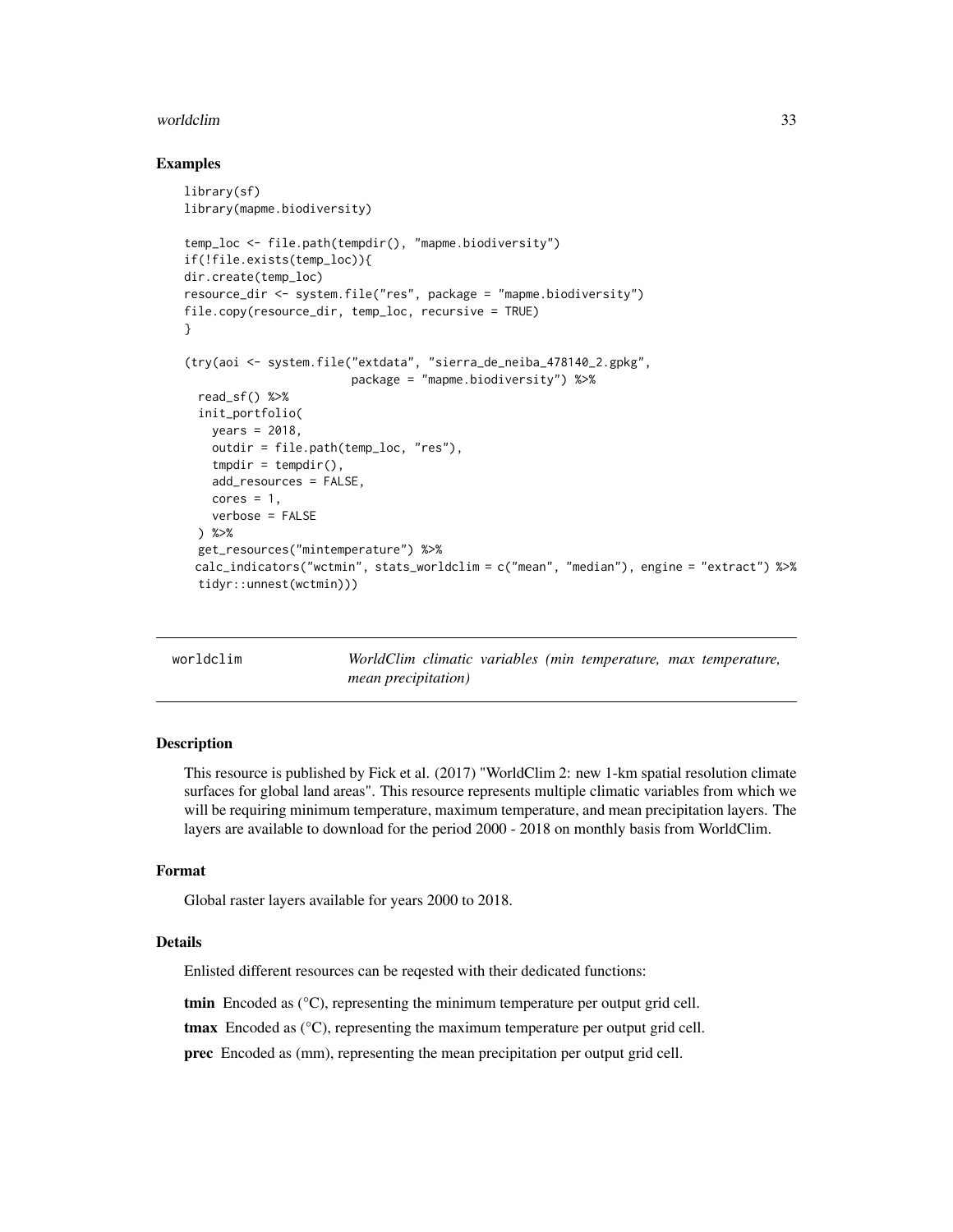#### <span id="page-32-0"></span>worldclim 33

#### Examples

```
library(sf)
library(mapme.biodiversity)
temp_loc <- file.path(tempdir(), "mapme.biodiversity")
if(!file.exists(temp_loc)){
dir.create(temp_loc)
resource_dir <- system.file("res", package = "mapme.biodiversity")
file.copy(resource_dir, temp_loc, recursive = TRUE)
}
(try(aoi <- system.file("extdata", "sierra_de_neiba_478140_2.gpkg",
                        package = "mapme.biodiversity") %>%
 read_sf() %>%
 init_portfolio(
   years = 2018,
   outdir = file.path(temp_loc, "res"),
   tmpdir = tempdir(),add_resources = FALSE,
   cores = 1,
   verbose = FALSE
 ) %>%
 get_resources("mintemperature") %>%
 calc_indicators("wctmin", stats_worldclim = c("mean", "median"), engine = "extract") %>%
 tidyr::unnest(wctmin)))
```
<span id="page-32-1"></span>worldclim *WorldClim climatic variables (min temperature, max temperature, mean precipitation)*

#### Description

This resource is published by Fick et al. (2017) "WorldClim 2: new 1-km spatial resolution climate surfaces for global land areas". This resource represents multiple climatic variables from which we will be requiring minimum temperature, maximum temperature, and mean precipitation layers. The layers are available to download for the period 2000 - 2018 on monthly basis from WorldClim.

#### Format

Global raster layers available for years 2000 to 2018.

#### Details

Enlisted different resources can be reqested with their dedicated functions:

tmin Encoded as  $(^{\circ}C)$ , representing the minimum temperature per output grid cell.

tmax Encoded as  $(^{\circ}C)$ , representing the maximum temperature per output grid cell.

prec Encoded as (mm), representing the mean precipitation per output grid cell.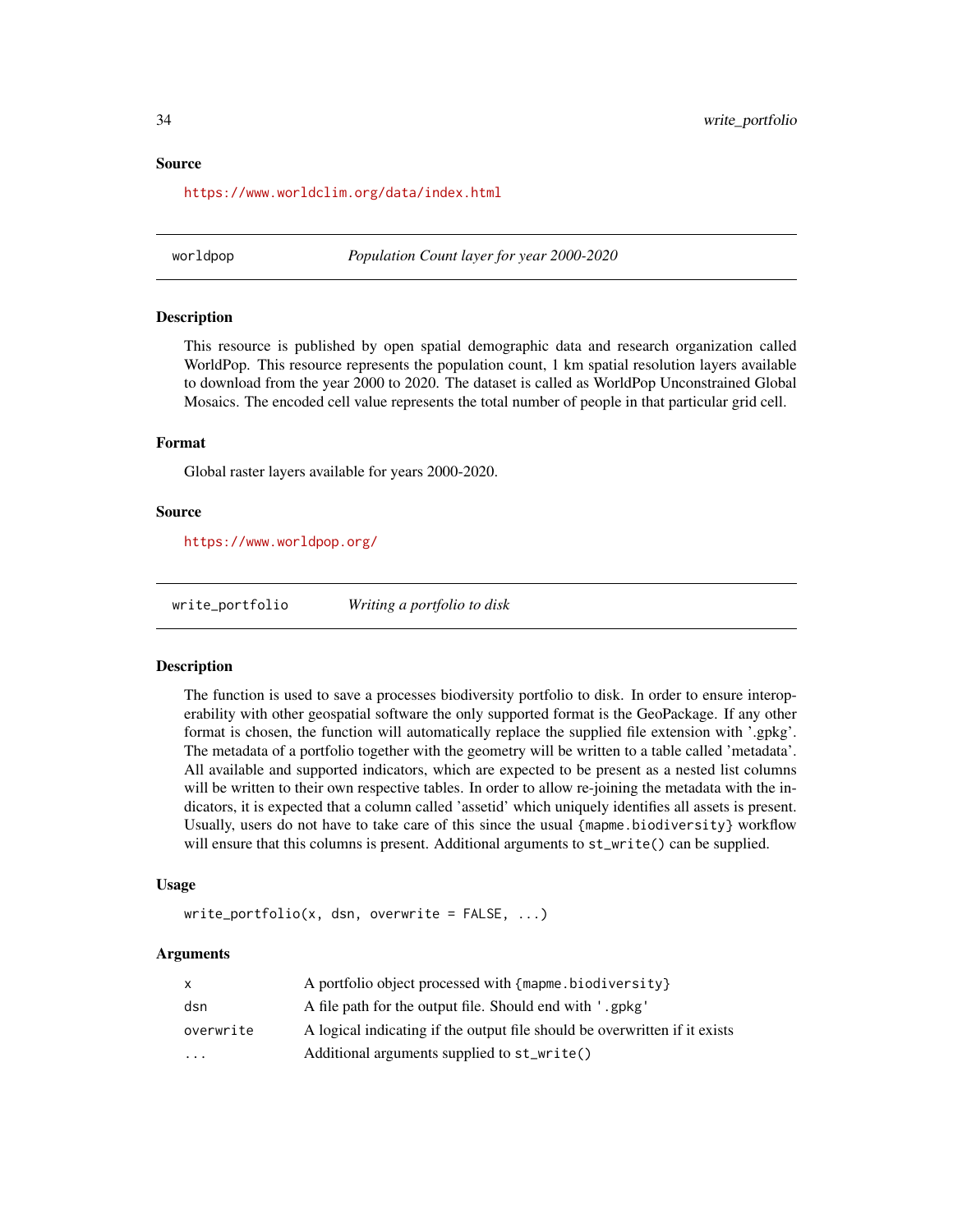<span id="page-33-0"></span><https://www.worldclim.org/data/index.html>

<span id="page-33-1"></span>worldpop *Population Count layer for year 2000-2020*

#### Description

This resource is published by open spatial demographic data and research organization called WorldPop. This resource represents the population count, 1 km spatial resolution layers available to download from the year 2000 to 2020. The dataset is called as WorldPop Unconstrained Global Mosaics. The encoded cell value represents the total number of people in that particular grid cell.

#### Format

Global raster layers available for years 2000-2020.

#### Source

<https://www.worldpop.org/>

write\_portfolio *Writing a portfolio to disk*

#### Description

The function is used to save a processes biodiversity portfolio to disk. In order to ensure interoperability with other geospatial software the only supported format is the GeoPackage. If any other format is chosen, the function will automatically replace the supplied file extension with '.gpkg'. The metadata of a portfolio together with the geometry will be written to a table called 'metadata'. All available and supported indicators, which are expected to be present as a nested list columns will be written to their own respective tables. In order to allow re-joining the metadata with the indicators, it is expected that a column called 'assetid' which uniquely identifies all assets is present. Usually, users do not have to take care of this since the usual {mapme.biodiversity} workflow will ensure that this columns is present. Additional arguments to  $st\_write()$  can be supplied.

#### Usage

 $write\_portfolio(x, dsn, overwrite = FALSE, ...)$ 

#### Arguments

|           | A portfolio object processed with {mapme.biodiversity}                     |
|-----------|----------------------------------------------------------------------------|
| dsn       | A file path for the output file. Should end with '.gpkg'                   |
| overwrite | A logical indicating if the output file should be overwritten if it exists |
| $\ddotsc$ | Additional arguments supplied to st_write()                                |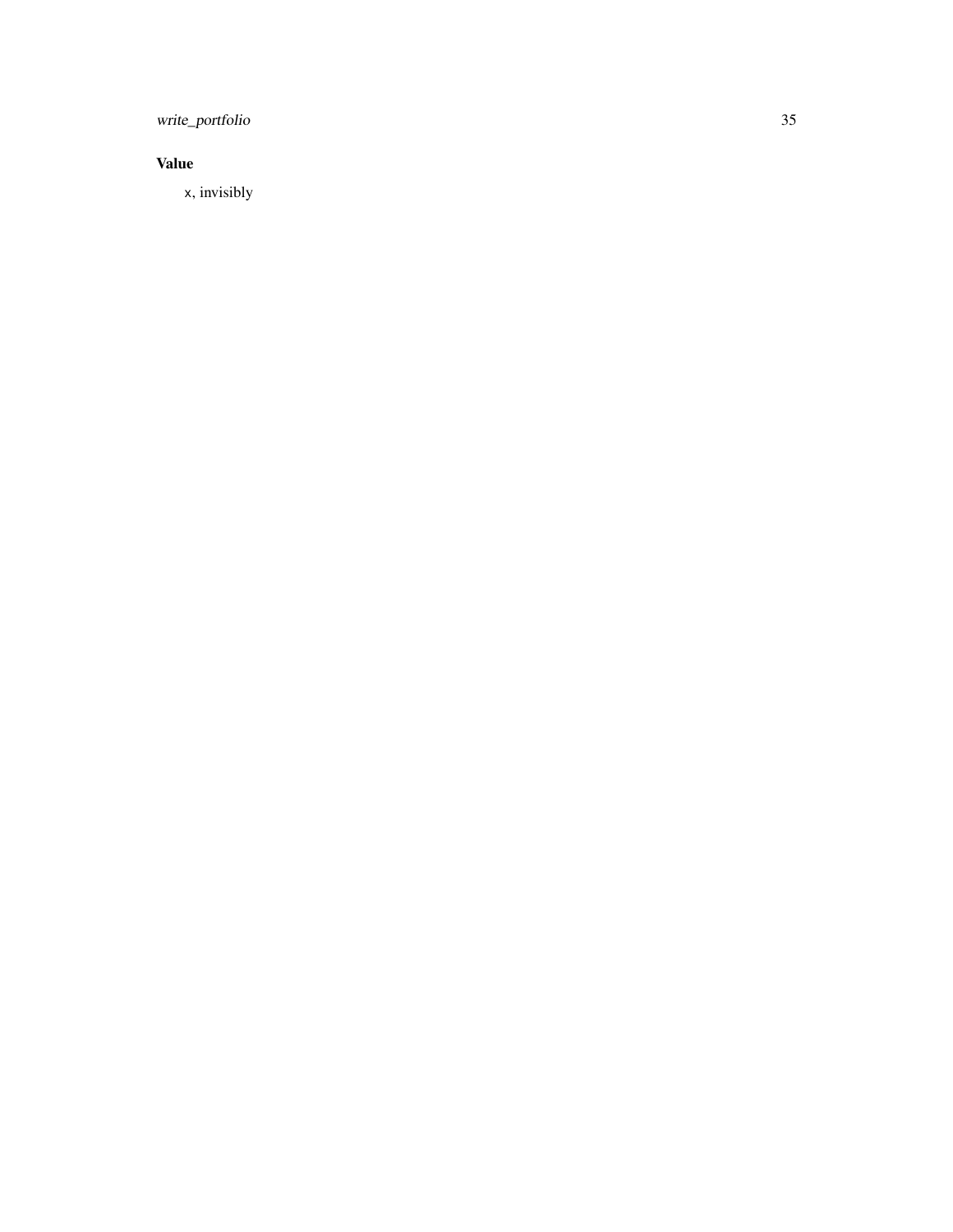write\_portfolio 35

### Value

x, invisibly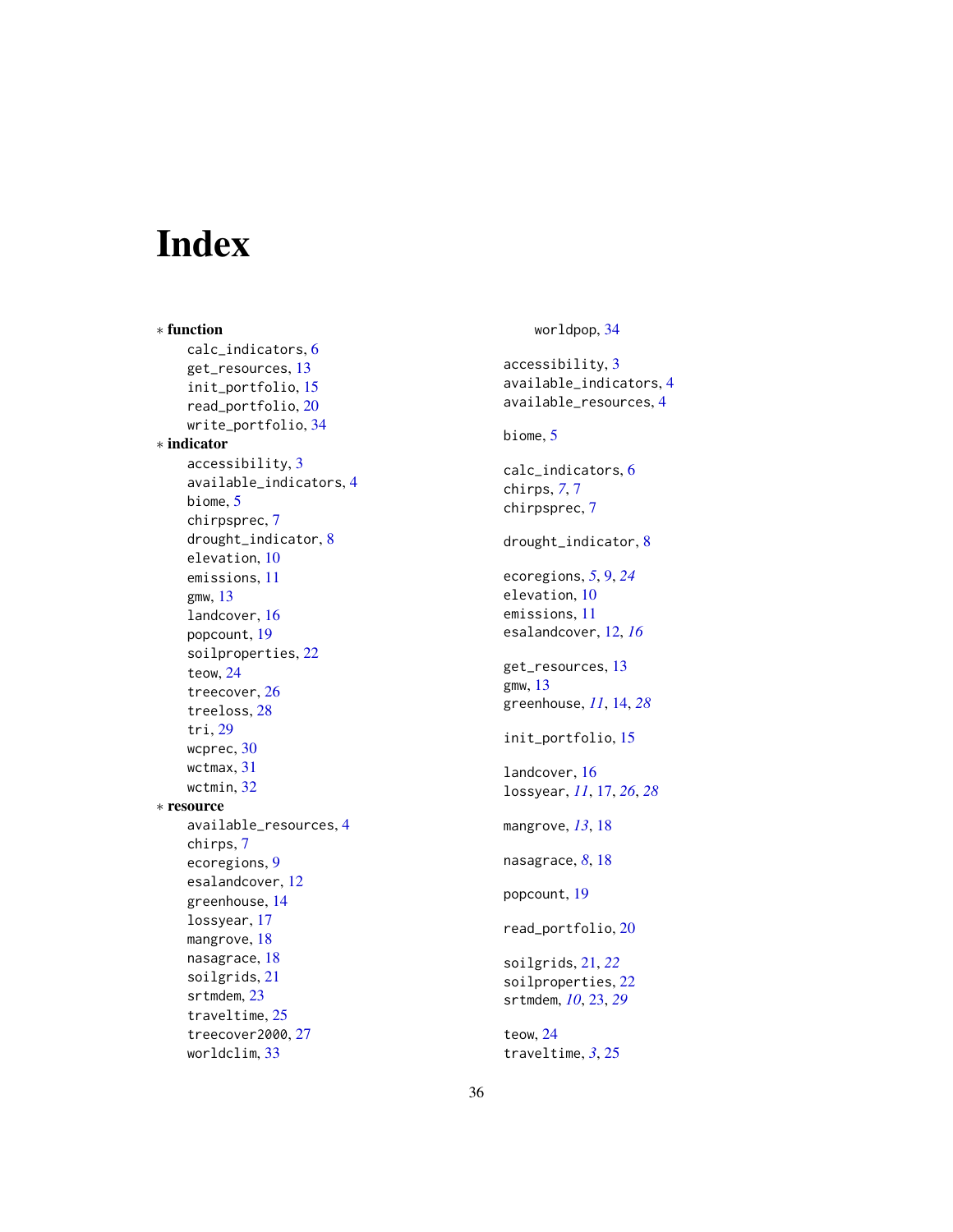# <span id="page-35-0"></span>Index

∗ function calc\_indicators , [6](#page-5-0) get\_resources , [13](#page-12-0) init\_portfolio , [15](#page-14-0) read\_portfolio , [20](#page-19-0) write\_portfolio , [34](#page-33-0) ∗ indicator accessibility , [3](#page-2-0) available\_indicators , [4](#page-3-0) biome , [5](#page-4-0) chirpsprec , [7](#page-6-0) drought\_indicator , [8](#page-7-0) elevation, [10](#page-9-0) emissions , [11](#page-10-0) gmw , [13](#page-12-0) landcover , [16](#page-15-0) popcount , [19](#page-18-0) soilproperties , [22](#page-21-0) teow , [24](#page-23-0) treecover , [26](#page-25-0) treeloss , [28](#page-27-0) tri , [29](#page-28-0) wcprec , [30](#page-29-0) wctmax, [31](#page-30-0) wctmin , [32](#page-31-0) ∗ resource available\_resources , [4](#page-3-0) chirps , [7](#page-6-0) ecoregions , [9](#page-8-0) esalandcover , [12](#page-11-0) greenhouse , [14](#page-13-0) lossyear , [17](#page-16-0) mangrove , [18](#page-17-0) nasagrace , [18](#page-17-0) soilgrids , [21](#page-20-0) srtmdem , [23](#page-22-0) traveltime , [25](#page-24-0) treecover2000, [27](#page-26-0) worldclim , [33](#page-32-0)

worldpop , [34](#page-33-0) accessibility , [3](#page-2-0) available\_indicators , [4](#page-3-0) available\_resources , [4](#page-3-0) biome , [5](#page-4-0) calc\_indicators , [6](#page-5-0) chirps , *[7](#page-6-0)* , [7](#page-6-0) chirpsprec , [7](#page-6-0) drought\_indicator , [8](#page-7-0) ecoregions , *[5](#page-4-0)* , [9](#page-8-0) , *[24](#page-23-0)* elevation, [10](#page-9-0) emissions , [11](#page-10-0) esalandcover , [12](#page-11-0) , *[16](#page-15-0)* get\_resources , [13](#page-12-0) gmw , [13](#page-12-0) greenhouse , *[11](#page-10-0)* , [14](#page-13-0) , *[28](#page-27-0)* init\_portfolio , [15](#page-14-0) landcover , [16](#page-15-0) lossyear , *[11](#page-10-0)* , [17](#page-16-0) , *[26](#page-25-0)* , *[28](#page-27-0)* mangrove , *[13](#page-12-0)* , [18](#page-17-0) nasagrace, [8](#page-7-0), [18](#page-17-0) popcount , [19](#page-18-0) read\_portfolio , [20](#page-19-0) soilgrids , [21](#page-20-0) , *[22](#page-21-0)* soilproperties , [22](#page-21-0) srtmdem , *[10](#page-9-0)* , [23](#page-22-0) , *[29](#page-28-0)* teow , [24](#page-23-0) traveltime , *[3](#page-2-0)* , [25](#page-24-0)